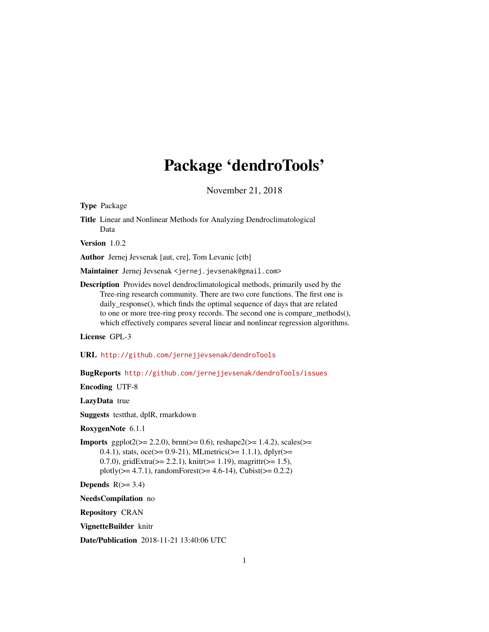# Package 'dendroTools'

November 21, 2018

Type Package

Title Linear and Nonlinear Methods for Analyzing Dendroclimatological Data

Version 1.0.2

Author Jernej Jevsenak [aut, cre], Tom Levanic [ctb]

Maintainer Jernej Jevsenak <jernej.jevsenak@gmail.com>

Description Provides novel dendroclimatological methods, primarily used by the Tree-ring research community. There are two core functions. The first one is daily\_response(), which finds the optimal sequence of days that are related to one or more tree-ring proxy records. The second one is compare\_methods(), which effectively compares several linear and nonlinear regression algorithms.

License GPL-3

URL <http://github.com/jernejjevsenak/dendroTools>

BugReports <http://github.com/jernejjevsenak/dendroTools/issues>

Encoding UTF-8

LazyData true

Suggests testthat, dplR, rmarkdown

RoxygenNote 6.1.1

**Imports** ggplot2( $>= 2.2.0$ ), brnn( $>= 0.6$ ), reshape2( $>= 1.4.2$ ), scales( $>=$ 0.4.1), stats,  $\text{oce}(>= 0.9-21)$ , MLmetrics( $>= 1.1.1$ ), dplyr( $>=$ 0.7.0), gridExtra( $>= 2.2.1$ ), knitr( $>= 1.19$ ), magrittr( $>= 1.5$ ),  $plotly(>= 4.7.1)$ , randomForest( $>= 4.6-14$ ), Cubist( $>= 0.2.2$ )

**Depends**  $R(>= 3.4)$ 

NeedsCompilation no

Repository CRAN

VignetteBuilder knitr

Date/Publication 2018-11-21 13:40:06 UTC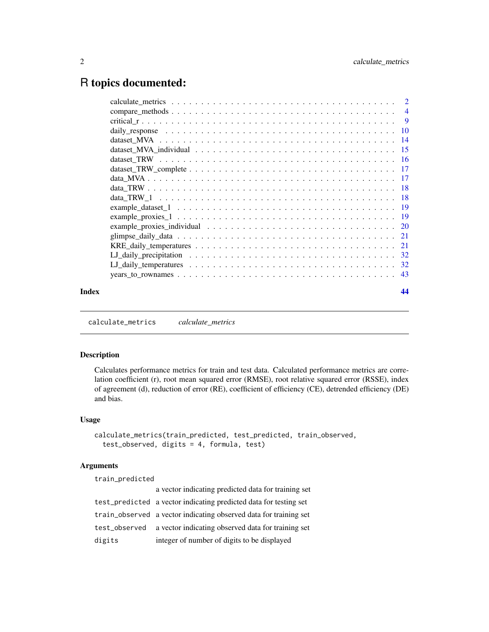# <span id="page-1-0"></span>R topics documented:

| Index | 44 |  |
|-------|----|--|
|       |    |  |

calculate\_metrics *calculate\_metrics*

# Description

Calculates performance metrics for train and test data. Calculated performance metrics are correlation coefficient (r), root mean squared error (RMSE), root relative squared error (RSSE), index of agreement (d), reduction of error (RE), coefficient of efficiency (CE), detrended efficiency (DE) and bias.

# Usage

```
calculate_metrics(train_predicted, test_predicted, train_observed,
  test_observed, digits = 4, formula, test)
```
# Arguments

```
train_predicted
```

|               | a vector indicating predicted data for training set               |
|---------------|-------------------------------------------------------------------|
|               | test_predicted a vector indicating predicted data for testing set |
|               | train_observed a vector indicating observed data for training set |
| test_observed | a vector indicating observed data for training set                |
| digits        | integer of number of digits to be displayed                       |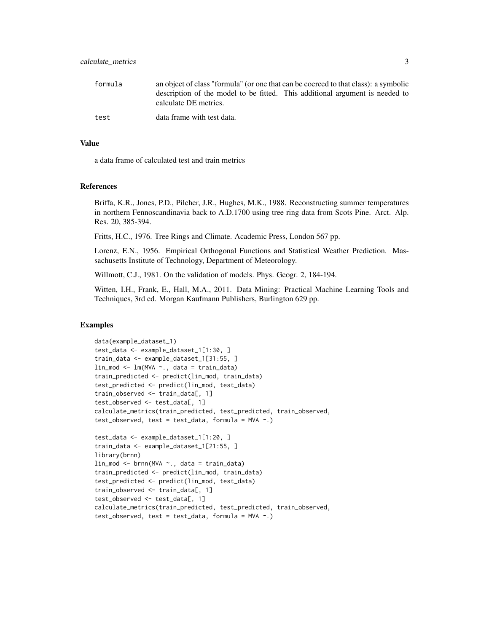| formula | an object of class "formula" (or one that can be coerced to that class): a symbolic                   |
|---------|-------------------------------------------------------------------------------------------------------|
|         | description of the model to be fitted. This additional argument is needed to<br>calculate DE metrics. |
| test    | data frame with test data.                                                                            |

#### Value

a data frame of calculated test and train metrics

#### References

Briffa, K.R., Jones, P.D., Pilcher, J.R., Hughes, M.K., 1988. Reconstructing summer temperatures in northern Fennoscandinavia back to A.D.1700 using tree ring data from Scots Pine. Arct. Alp. Res. 20, 385-394.

Fritts, H.C., 1976. Tree Rings and Climate. Academic Press, London 567 pp.

Lorenz, E.N., 1956. Empirical Orthogonal Functions and Statistical Weather Prediction. Massachusetts Institute of Technology, Department of Meteorology.

Willmott, C.J., 1981. On the validation of models. Phys. Geogr. 2, 184-194.

Witten, I.H., Frank, E., Hall, M.A., 2011. Data Mining: Practical Machine Learning Tools and Techniques, 3rd ed. Morgan Kaufmann Publishers, Burlington 629 pp.

# Examples

```
data(example_dataset_1)
test_data <- example_dataset_1[1:30, ]
train_data <- example_dataset_1[31:55, ]
lin_mod <- lm(MVA ~., data = train_data)
train_predicted <- predict(lin_mod, train_data)
test_predicted <- predict(lin_mod, test_data)
train_observed <- train_data[, 1]
test_observed <- test_data[, 1]
calculate_metrics(train_predicted, test_predicted, train_observed,
test_observed, test = test_data, formula = MVA ~.)
test_data <- example_dataset_1[1:20, ]
train_data <- example_dataset_1[21:55, ]
library(brnn)
lin_mod <- brnn(MVA ~., data = train_data)
train_predicted <- predict(lin_mod, train_data)
test_predicted <- predict(lin_mod, test_data)
train_observed <- train_data[, 1]
test_observed <- test_data[, 1]
calculate_metrics(train_predicted, test_predicted, train_observed,
test\_observed, test = test\_data, formula = MVA \sim .)
```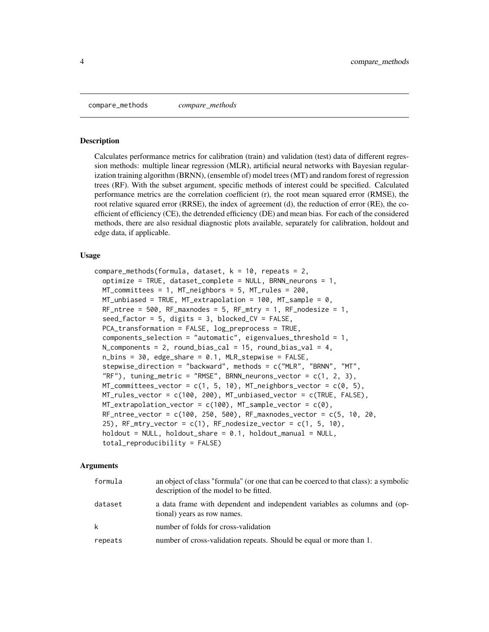<span id="page-3-0"></span>compare\_methods *compare\_methods*

#### Description

Calculates performance metrics for calibration (train) and validation (test) data of different regression methods: multiple linear regression (MLR), artificial neural networks with Bayesian regularization training algorithm (BRNN), (ensemble of) model trees (MT) and random forest of regression trees (RF). With the subset argument, specific methods of interest could be specified. Calculated performance metrics are the correlation coefficient (r), the root mean squared error (RMSE), the root relative squared error (RRSE), the index of agreement (d), the reduction of error (RE), the coefficient of efficiency (CE), the detrended efficiency (DE) and mean bias. For each of the considered methods, there are also residual diagnostic plots available, separately for calibration, holdout and edge data, if applicable.

#### Usage

```
compare\_methods(formula, dataset, k = 10, repeats = 2,optimize = TRUE, dataset_complete = NULL, BRNN_neurons = 1,
 MT_committees = 1, MT_neighbors = 5, MT_rules = 200,
 MT_unbiased = TRUE, MT_extrapolation = 100, MT_sample = 0,
  RF_ntree = 500, RF_maxnodes = 5, RF_mtry = 1, RF_nodesize = 1,
  seed_factor = 5, digits = 3, blocked_CV = FALSE,
  PCA_transformation = FALSE, log_preprocess = TRUE,
  components_selection = "automatic", eigenvalues_threshold = 1,
  N_{\text{components}} = 2, round_bias_cal = 15, round_bias_val = 4,
  n_bins = 30, edge_share = 0.1, MLR_stepwise = FALSE,
  stepwise_direction = "backward", methods = c("MLR", "BRNN", "MT",
  "RF"), tuning_metric = "RMSE", BRNN_neurons_vector = c(1, 2, 3),
  MT\_commities\_vector = c(1, 5, 10), MT\_neighbors\_vector = c(0, 5),MT_rules_vector = c(100, 200), MT_unbiased_vector = c(TRUE, FALSE),
 MT_extrapolation_vector = c(100), MT_sample_vector = c(0),
  RF_ntree_vector = c(100, 250, 500), RF_maxnodes_vector = c(5, 10, 20,
  25), RF_mtry_vector = c(1), RF_nodesize_vector = c(1, 5, 10),
  holdout = NULL, holdout\_share = 0.1, holdout\_manual = NULL,total_reproducibility = FALSE)
```
#### Arguments

| formula | an object of class "formula" (or one that can be coerced to that class): a symbolic<br>description of the model to be fitted. |
|---------|-------------------------------------------------------------------------------------------------------------------------------|
| dataset | a data frame with dependent and independent variables as columns and (op-<br>tional) years as row names.                      |
| k       | number of folds for cross-validation                                                                                          |
| repeats | number of cross-validation repeats. Should be equal or more than 1.                                                           |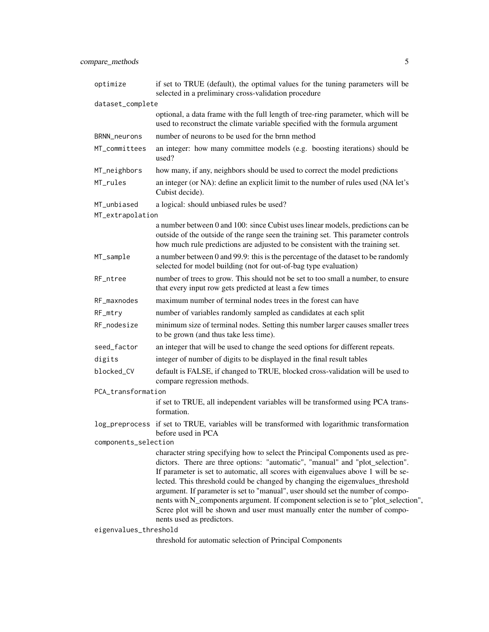| optimize              | if set to TRUE (default), the optimal values for the tuning parameters will be<br>selected in a preliminary cross-validation procedure                                                                                                                                                                                                                                                                                                                  |  |  |
|-----------------------|---------------------------------------------------------------------------------------------------------------------------------------------------------------------------------------------------------------------------------------------------------------------------------------------------------------------------------------------------------------------------------------------------------------------------------------------------------|--|--|
| dataset_complete      |                                                                                                                                                                                                                                                                                                                                                                                                                                                         |  |  |
|                       | optional, a data frame with the full length of tree-ring parameter, which will be<br>used to reconstruct the climate variable specified with the formula argument                                                                                                                                                                                                                                                                                       |  |  |
| BRNN_neurons          | number of neurons to be used for the brnn method                                                                                                                                                                                                                                                                                                                                                                                                        |  |  |
| MT_committees         | an integer: how many committee models (e.g. boosting iterations) should be<br>used?                                                                                                                                                                                                                                                                                                                                                                     |  |  |
| MT_neighbors          | how many, if any, neighbors should be used to correct the model predictions                                                                                                                                                                                                                                                                                                                                                                             |  |  |
| MT_rules              | an integer (or NA): define an explicit limit to the number of rules used (NA let's<br>Cubist decide).                                                                                                                                                                                                                                                                                                                                                   |  |  |
| MT_unbiased           | a logical: should unbiased rules be used?                                                                                                                                                                                                                                                                                                                                                                                                               |  |  |
| MT_extrapolation      |                                                                                                                                                                                                                                                                                                                                                                                                                                                         |  |  |
|                       | a number between 0 and 100: since Cubist uses linear models, predictions can be<br>outside of the outside of the range seen the training set. This parameter controls<br>how much rule predictions are adjusted to be consistent with the training set.                                                                                                                                                                                                 |  |  |
| MT_sample             | a number between 0 and 99.9: this is the percentage of the dataset to be randomly<br>selected for model building (not for out-of-bag type evaluation)                                                                                                                                                                                                                                                                                                   |  |  |
| RF_ntree              | number of trees to grow. This should not be set to too small a number, to ensure<br>that every input row gets predicted at least a few times                                                                                                                                                                                                                                                                                                            |  |  |
| RF_maxnodes           | maximum number of terminal nodes trees in the forest can have                                                                                                                                                                                                                                                                                                                                                                                           |  |  |
| RF_mtry               | number of variables randomly sampled as candidates at each split                                                                                                                                                                                                                                                                                                                                                                                        |  |  |
| RF_nodesize           | minimum size of terminal nodes. Setting this number larger causes smaller trees<br>to be grown (and thus take less time).                                                                                                                                                                                                                                                                                                                               |  |  |
| seed_factor           | an integer that will be used to change the seed options for different repeats.                                                                                                                                                                                                                                                                                                                                                                          |  |  |
| digits                | integer of number of digits to be displayed in the final result tables                                                                                                                                                                                                                                                                                                                                                                                  |  |  |
| blocked_CV            | default is FALSE, if changed to TRUE, blocked cross-validation will be used to<br>compare regression methods.                                                                                                                                                                                                                                                                                                                                           |  |  |
| PCA_transformation    |                                                                                                                                                                                                                                                                                                                                                                                                                                                         |  |  |
|                       | if set to TRUE, all independent variables will be transformed using PCA trans-<br>formation.                                                                                                                                                                                                                                                                                                                                                            |  |  |
| log_preprocess        | if set to TRUE, variables will be transformed with logarithmic transformation<br>before used in PCA                                                                                                                                                                                                                                                                                                                                                     |  |  |
| components_selection  |                                                                                                                                                                                                                                                                                                                                                                                                                                                         |  |  |
|                       | character string specifying how to select the Principal Components used as pre-<br>dictors. There are three options: "automatic", "manual" and "plot_selection".                                                                                                                                                                                                                                                                                        |  |  |
|                       | If parameter is set to automatic, all scores with eigenvalues above 1 will be se-<br>lected. This threshold could be changed by changing the eigenvalues_threshold<br>argument. If parameter is set to "manual", user should set the number of compo-<br>nents with N_components argument. If component selection is se to "plot_selection",<br>Scree plot will be shown and user must manually enter the number of compo-<br>nents used as predictors. |  |  |
| eigenvalues_threshold |                                                                                                                                                                                                                                                                                                                                                                                                                                                         |  |  |
|                       | threshold for automatic selection of Principal Components                                                                                                                                                                                                                                                                                                                                                                                               |  |  |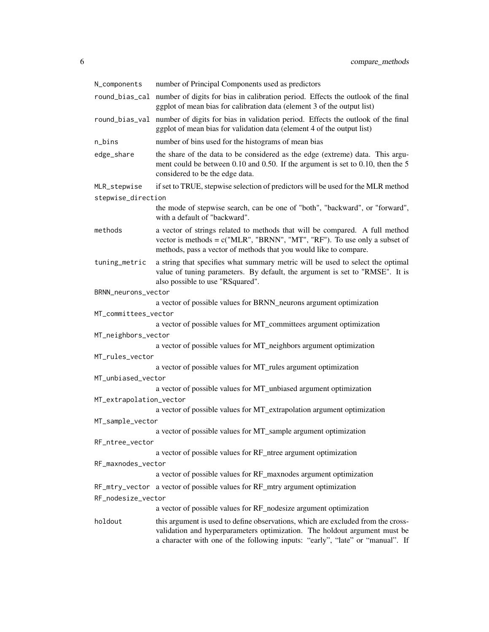| N_components            | number of Principal Components used as predictors                                                                                                                                                                                              |
|-------------------------|------------------------------------------------------------------------------------------------------------------------------------------------------------------------------------------------------------------------------------------------|
| round_bias_cal          | number of digits for bias in calibration period. Effects the outlook of the final<br>ggplot of mean bias for calibration data (element 3 of the output list)                                                                                   |
|                         | round_bias_val number of digits for bias in validation period. Effects the outlook of the final<br>ggplot of mean bias for validation data (element 4 of the output list)                                                                      |
| n_bins                  | number of bins used for the histograms of mean bias                                                                                                                                                                                            |
| edge_share              | the share of the data to be considered as the edge (extreme) data. This argu-<br>ment could be between 0.10 and 0.50. If the argument is set to 0.10, then the 5<br>considered to be the edge data.                                            |
| MLR_stepwise            | if set to TRUE, stepwise selection of predictors will be used for the MLR method                                                                                                                                                               |
| stepwise_direction      |                                                                                                                                                                                                                                                |
|                         | the mode of stepwise search, can be one of "both", "backward", or "forward",<br>with a default of "backward".                                                                                                                                  |
| methods                 | a vector of strings related to methods that will be compared. A full method<br>vector is methods = $c("MLR", "BRNN", "MT", "RF").$ To use only a subset of<br>methods, pass a vector of methods that you would like to compare.                |
| tuning_metric           | a string that specifies what summary metric will be used to select the optimal<br>value of tuning parameters. By default, the argument is set to "RMSE". It is<br>also possible to use "RSquared".                                             |
| BRNN_neurons_vector     |                                                                                                                                                                                                                                                |
|                         | a vector of possible values for BRNN_neurons argument optimization                                                                                                                                                                             |
| MT_committees_vector    |                                                                                                                                                                                                                                                |
|                         | a vector of possible values for MT_committees argument optimization                                                                                                                                                                            |
| MT_neighbors_vector     |                                                                                                                                                                                                                                                |
|                         | a vector of possible values for MT_neighbors argument optimization                                                                                                                                                                             |
| MT_rules_vector         |                                                                                                                                                                                                                                                |
|                         | a vector of possible values for MT_rules argument optimization                                                                                                                                                                                 |
| MT_unbiased_vector      |                                                                                                                                                                                                                                                |
|                         | a vector of possible values for MT_unbiased argument optimization                                                                                                                                                                              |
| MT_extrapolation_vector | a vector of possible values for MT_extrapolation argument optimization                                                                                                                                                                         |
| MT_sample_vector        |                                                                                                                                                                                                                                                |
|                         | a vector of possible values for MT_sample argument optimization                                                                                                                                                                                |
| RF_ntree_vector         |                                                                                                                                                                                                                                                |
|                         | a vector of possible values for RF_ntree argument optimization                                                                                                                                                                                 |
| RF_maxnodes_vector      |                                                                                                                                                                                                                                                |
|                         | a vector of possible values for RF_maxnodes argument optimization                                                                                                                                                                              |
|                         | RF_mtry_vector a vector of possible values for RF_mtry argument optimization                                                                                                                                                                   |
| RF_nodesize_vector      |                                                                                                                                                                                                                                                |
|                         | a vector of possible values for RF_nodesize argument optimization                                                                                                                                                                              |
| holdout                 | this argument is used to define observations, which are excluded from the cross-<br>validation and hyperparameters optimization. The holdout argument must be<br>a character with one of the following inputs: "early", "late" or "manual". If |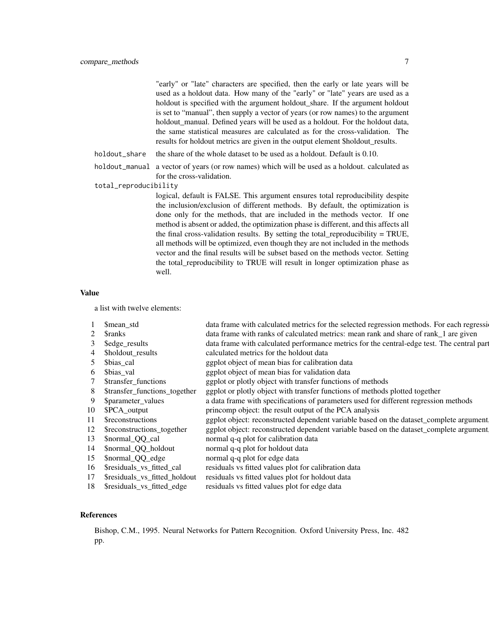"early" or "late" characters are specified, then the early or late years will be used as a holdout data. How many of the "early" or "late" years are used as a holdout is specified with the argument holdout share. If the argument holdout is set to "manual", then supply a vector of years (or row names) to the argument holdout\_manual. Defined years will be used as a holdout. For the holdout data, the same statistical measures are calculated as for the cross-validation. The results for holdout metrics are given in the output element \$holdout\_results.

holdout\_share the share of the whole dataset to be used as a holdout. Default is 0.10.

holdout\_manual a vector of years (or row names) which will be used as a holdout. calculated as for the cross-validation.

total\_reproducibility

logical, default is FALSE. This argument ensures total reproducibility despite the inclusion/exclusion of different methods. By default, the optimization is done only for the methods, that are included in the methods vector. If one method is absent or added, the optimization phase is different, and this affects all the final cross-validation results. By setting the total reproducibility  $= TRUE$ , all methods will be optimized, even though they are not included in the methods vector and the final results will be subset based on the methods vector. Setting the total\_reproducibility to TRUE will result in longer optimization phase as well.

#### Value

a list with twelve elements:

| \$mean_std                 | data frame with calculated metrics for the selected regression methods. For each regressi                 |
|----------------------------|-----------------------------------------------------------------------------------------------------------|
| <b>Sranks</b>              | data frame with ranks of calculated metrics: mean rank and share of rank_1 are given                      |
| \$edge_results             | data frame with calculated performance metrics for the central-edge test. The central part                |
| \$holdout_results          | calculated metrics for the holdout data                                                                   |
| \$bias_cal                 | ggplot object of mean bias for calibration data                                                           |
| 6 \$bias_val               | ggplot object of mean bias for validation data                                                            |
| \$transfer_functions       | ggplot or plotly object with transfer functions of methods                                                |
|                            | \$transfer_functions_together ggplot or plotly object with transfer functions of methods plotted together |
| \$parameter_values         | a data frame with specifications of parameters used for different regression methods                      |
| 0 \$PCA_output             | princomp object: the result output of the PCA analysis                                                    |
| <b>S</b> reconstructions   | ggplot object: reconstructed dependent variable based on the dataset_complete argument                    |
| \$reconstructions_together | ggplot object: reconstructed dependent variable based on the dataset_complete argument                    |
| \$normal_QQ_cal            | normal q-q plot for calibration data                                                                      |
| \$normal_QQ_holdout        | normal q-q plot for holdout data                                                                          |
| \$normal_QQ_edge           | normal q-q plot for edge data                                                                             |
| \$residuals_vs_fitted_cal  | residuals vs fitted values plot for calibration data                                                      |
|                            | \$residuals_vs_fitted_holdout residuals vs fitted values plot for holdout data                            |
| \$residuals_vs_fitted_edge | residuals vs fitted values plot for edge data                                                             |
|                            |                                                                                                           |

# References

Bishop, C.M., 1995. Neural Networks for Pattern Recognition. Oxford University Press, Inc. 482 pp.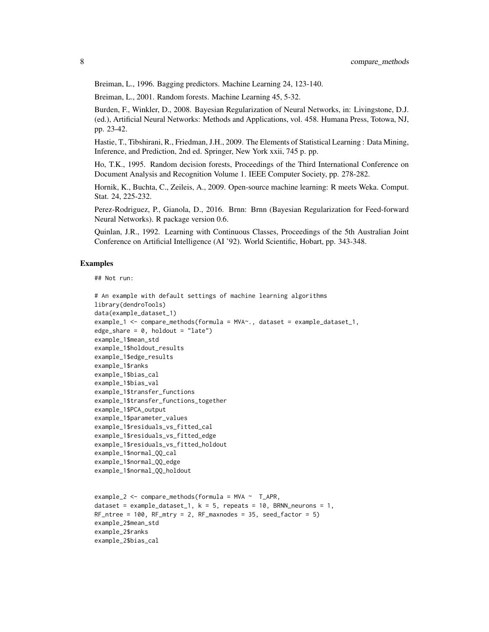Breiman, L., 1996. Bagging predictors. Machine Learning 24, 123-140.

Breiman, L., 2001. Random forests. Machine Learning 45, 5-32.

Burden, F., Winkler, D., 2008. Bayesian Regularization of Neural Networks, in: Livingstone, D.J. (ed.), Artificial Neural Networks: Methods and Applications, vol. 458. Humana Press, Totowa, NJ, pp. 23-42.

Hastie, T., Tibshirani, R., Friedman, J.H., 2009. The Elements of Statistical Learning : Data Mining, Inference, and Prediction, 2nd ed. Springer, New York xxii, 745 p. pp.

Ho, T.K., 1995. Random decision forests, Proceedings of the Third International Conference on Document Analysis and Recognition Volume 1. IEEE Computer Society, pp. 278-282.

Hornik, K., Buchta, C., Zeileis, A., 2009. Open-source machine learning: R meets Weka. Comput. Stat. 24, 225-232.

Perez-Rodriguez, P., Gianola, D., 2016. Brnn: Brnn (Bayesian Regularization for Feed-forward Neural Networks). R package version 0.6.

Quinlan, J.R., 1992. Learning with Continuous Classes, Proceedings of the 5th Australian Joint Conference on Artificial Intelligence (AI '92). World Scientific, Hobart, pp. 343-348.

### Examples

## Not run:

```
# An example with default settings of machine learning algorithms
library(dendroTools)
data(example_dataset_1)
example_1 <- compare_methods(formula = MVA~., dataset = example_dataset_1,
edge\_share = 0, holdout = "late")
example_1$mean_std
example_1$holdout_results
example_1$edge_results
example_1$ranks
example_1$bias_cal
example_1$bias_val
example_1$transfer_functions
example_1$transfer_functions_together
example_1$PCA_output
example_1$parameter_values
example_1$residuals_vs_fitted_cal
example_1$residuals_vs_fitted_edge
example_1$residuals_vs_fitted_holdout
example_1$normal_QQ_cal
example_1$normal_QQ_edge
example_1$normal_QQ_holdout
example_2 <- compare_methods(formula = MVA ~ T_APR,
dataset = example_dataset_1, k = 5, repeats = 10, BRNN_neurons = 1,
RF_ntree = 100, RF_mtry = 2, RF_maxnodes = 35, seed_factor = 5)
example_2$mean_std
```
example\_2\$ranks example\_2\$bias\_cal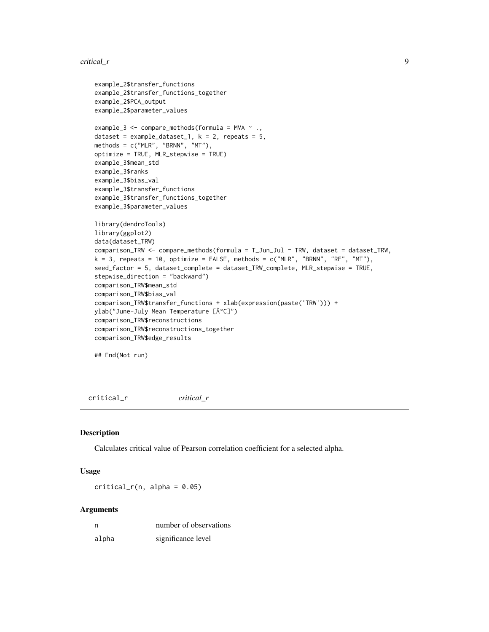#### <span id="page-8-0"></span>critical\_r 9

```
example_2$transfer_functions
example_2$transfer_functions_together
example_2$PCA_output
example_2$parameter_values
example_3 <- compare_methods(formula = MVA ~ .,
dataset = example_dataset_1, k = 2, repeats = 5,
methods = c("MLR", "BRNN", "MT"),optimize = TRUE, MLR_stepwise = TRUE)
example_3$mean_std
example_3$ranks
example_3$bias_val
example_3$transfer_functions
example_3$transfer_functions_together
example_3$parameter_values
library(dendroTools)
library(ggplot2)
data(dataset_TRW)
comparison_TRW <- compare_methods(formula = T_Jun_Jul ~ TRW, dataset = dataset_TRW,
k = 3, repeats = 10, optimize = FALSE, methods = c("MLR", "BRNN", "RF", "MT"),
seed_factor = 5, dataset_complete = dataset_TRW_complete, MLR_stepwise = TRUE,
stepwise_direction = "backward")
comparison_TRW$mean_std
comparison_TRW$bias_val
comparison_TRW$transfer_functions + xlab(expression(paste('TRW'))) +
ylab("June-July Mean Temperature [°C]")
comparison_TRW$reconstructions
comparison_TRW$reconstructions_together
comparison_TRW$edge_results
```
## End(Not run)

critical\_r *critical\_r*

#### Description

Calculates critical value of Pearson correlation coefficient for a selected alpha.

#### Usage

 $critical_r(n, alpha = 0.05)$ 

#### Arguments

| n     | number of observations |
|-------|------------------------|
| alpha | significance level     |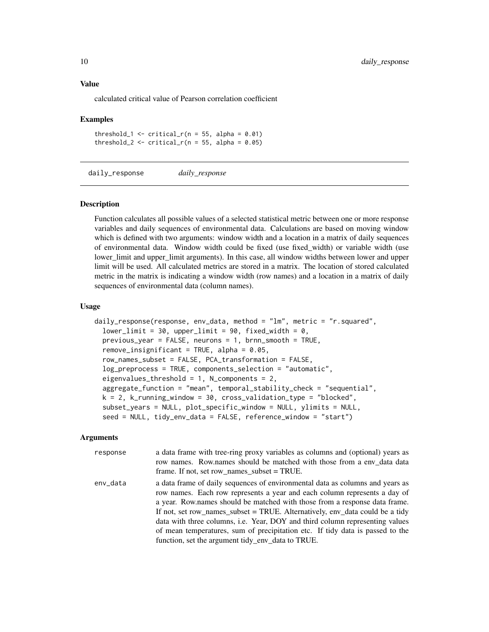#### <span id="page-9-0"></span>Value

calculated critical value of Pearson correlation coefficient

### Examples

threshold\_1 <- critical\_r( $n = 55$ , alpha = 0.01) threshold\_2 <- critical\_r( $n = 55$ , alpha = 0.05)

daily\_response *daily\_response*

#### Description

Function calculates all possible values of a selected statistical metric between one or more response variables and daily sequences of environmental data. Calculations are based on moving window which is defined with two arguments: window width and a location in a matrix of daily sequences of environmental data. Window width could be fixed (use fixed\_width) or variable width (use lower\_limit and upper\_limit arguments). In this case, all window widths between lower and upper limit will be used. All calculated metrics are stored in a matrix. The location of stored calculated metric in the matrix is indicating a window width (row names) and a location in a matrix of daily sequences of environmental data (column names).

# Usage

```
daily_response(response, env_data, method = "lm", metric = "r.squared",
  lower-limit = 30, upper_limit = 90, fixed_width = 0,
 previous_year = FALSE, neurons = 1, brnn_smooth = TRUE,
  remove_insignificant = TRUE, alpha = 0.05,
  row_names_subset = FALSE, PCA_transformation = FALSE,
  log_preprocess = TRUE, components_selection = "automatic",
  eigenvalues_threshold = 1, N_components = 2,
  aggregate_function = "mean", temporal_stability_check = "sequential",
  k = 2, k_running_window = 30, cross_validation_type = "blocked",
  subset_years = NULL, plot_specific_window = NULL, ylimits = NULL,
  seed = NULL, tidy_env_data = FALSE, reference_window = "start")
```
#### Arguments

| response | a data frame with tree-ring proxy variables as columns and (optional) years as<br>row names. Row names should be matched with those from a env data data<br>frame. If not, set row names subset $= TRUE$ .                                                                                                                                                                                                                                                                                                                                     |
|----------|------------------------------------------------------------------------------------------------------------------------------------------------------------------------------------------------------------------------------------------------------------------------------------------------------------------------------------------------------------------------------------------------------------------------------------------------------------------------------------------------------------------------------------------------|
| env_data | a data frame of daily sequences of environmental data as columns and years as<br>row names. Each row represents a year and each column represents a day of<br>a year. Row.names should be matched with those from a response data frame.<br>If not, set row_names_subset = TRUE. Alternatively, env_data could be a tidy<br>data with three columns, i.e. Year, DOY and third column representing values<br>of mean temperatures, sum of precipitation etc. If tidy data is passed to the<br>function, set the argument tidy_env_data to TRUE. |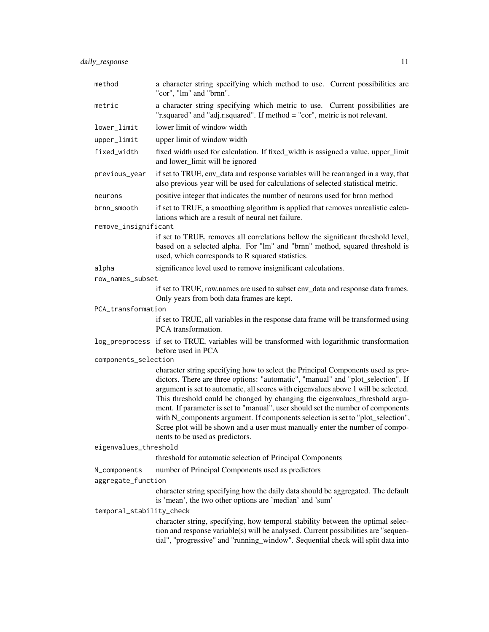| method                   | a character string specifying which method to use. Current possibilities are<br>"cor", "lm" and "brnn".                                                                                                                                                                                                                                                                                                                                                                                                                                                                                                                            |  |
|--------------------------|------------------------------------------------------------------------------------------------------------------------------------------------------------------------------------------------------------------------------------------------------------------------------------------------------------------------------------------------------------------------------------------------------------------------------------------------------------------------------------------------------------------------------------------------------------------------------------------------------------------------------------|--|
| metric                   | a character string specifying which metric to use. Current possibilities are<br>"r.squared" and "adj.r.squared". If method = "cor", metric is not relevant.                                                                                                                                                                                                                                                                                                                                                                                                                                                                        |  |
| lower_limit              | lower limit of window width                                                                                                                                                                                                                                                                                                                                                                                                                                                                                                                                                                                                        |  |
| upper_limit              | upper limit of window width                                                                                                                                                                                                                                                                                                                                                                                                                                                                                                                                                                                                        |  |
| fixed_width              | fixed width used for calculation. If fixed_width is assigned a value, upper_limit<br>and lower_limit will be ignored                                                                                                                                                                                                                                                                                                                                                                                                                                                                                                               |  |
| previous_year            | if set to TRUE, env_data and response variables will be rearranged in a way, that<br>also previous year will be used for calculations of selected statistical metric.                                                                                                                                                                                                                                                                                                                                                                                                                                                              |  |
| neurons                  | positive integer that indicates the number of neurons used for brnn method                                                                                                                                                                                                                                                                                                                                                                                                                                                                                                                                                         |  |
| brnn_smooth              | if set to TRUE, a smoothing algorithm is applied that removes unrealistic calcu-<br>lations which are a result of neural net failure.                                                                                                                                                                                                                                                                                                                                                                                                                                                                                              |  |
| remove_insignificant     |                                                                                                                                                                                                                                                                                                                                                                                                                                                                                                                                                                                                                                    |  |
|                          | if set to TRUE, removes all correlations bellow the significant threshold level,<br>based on a selected alpha. For "lm" and "brnn" method, squared threshold is<br>used, which corresponds to R squared statistics.                                                                                                                                                                                                                                                                                                                                                                                                                |  |
| alpha                    | significance level used to remove insignificant calculations.                                                                                                                                                                                                                                                                                                                                                                                                                                                                                                                                                                      |  |
| row_names_subset         |                                                                                                                                                                                                                                                                                                                                                                                                                                                                                                                                                                                                                                    |  |
|                          | if set to TRUE, row.names are used to subset env_data and response data frames.<br>Only years from both data frames are kept.                                                                                                                                                                                                                                                                                                                                                                                                                                                                                                      |  |
| PCA_transformation       |                                                                                                                                                                                                                                                                                                                                                                                                                                                                                                                                                                                                                                    |  |
|                          | if set to TRUE, all variables in the response data frame will be transformed using<br>PCA transformation.                                                                                                                                                                                                                                                                                                                                                                                                                                                                                                                          |  |
|                          | log_preprocess if set to TRUE, variables will be transformed with logarithmic transformation<br>before used in PCA                                                                                                                                                                                                                                                                                                                                                                                                                                                                                                                 |  |
| components_selection     |                                                                                                                                                                                                                                                                                                                                                                                                                                                                                                                                                                                                                                    |  |
|                          | character string specifying how to select the Principal Components used as pre-<br>dictors. There are three options: "automatic", "manual" and "plot_selection". If<br>argument is set to automatic, all scores with eigenvalues above 1 will be selected.<br>This threshold could be changed by changing the eigenvalues_threshold argu-<br>ment. If parameter is set to "manual", user should set the number of components<br>with N_components argument. If components selection is set to "plot_selection",<br>Scree plot will be shown and a user must manually enter the number of compo-<br>nents to be used as predictors. |  |
| eigenvalues_threshold    |                                                                                                                                                                                                                                                                                                                                                                                                                                                                                                                                                                                                                                    |  |
|                          | threshold for automatic selection of Principal Components                                                                                                                                                                                                                                                                                                                                                                                                                                                                                                                                                                          |  |
| N_components             | number of Principal Components used as predictors                                                                                                                                                                                                                                                                                                                                                                                                                                                                                                                                                                                  |  |
| aggregate_function       |                                                                                                                                                                                                                                                                                                                                                                                                                                                                                                                                                                                                                                    |  |
|                          | character string specifying how the daily data should be aggregated. The default<br>is 'mean', the two other options are 'median' and 'sum'                                                                                                                                                                                                                                                                                                                                                                                                                                                                                        |  |
| temporal_stability_check |                                                                                                                                                                                                                                                                                                                                                                                                                                                                                                                                                                                                                                    |  |
|                          | character string, specifying, how temporal stability between the optimal selec-<br>tion and response variable(s) will be analysed. Current possibilities are "sequen-<br>tial", "progressive" and "running_window". Sequential check will split data into                                                                                                                                                                                                                                                                                                                                                                          |  |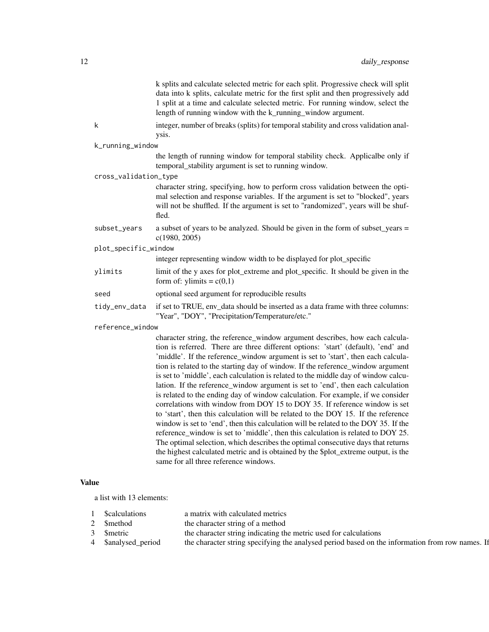|                       | k splits and calculate selected metric for each split. Progressive check will split<br>data into k splits, calculate metric for the first split and then progressively add<br>1 split at a time and calculate selected metric. For running window, select the<br>length of running window with the k_running_window argument.                                                                                                                                                                                                                                                                                                                                                                                                                                                                                                                                                                                                                                                                                                                                                                                                                                         |
|-----------------------|-----------------------------------------------------------------------------------------------------------------------------------------------------------------------------------------------------------------------------------------------------------------------------------------------------------------------------------------------------------------------------------------------------------------------------------------------------------------------------------------------------------------------------------------------------------------------------------------------------------------------------------------------------------------------------------------------------------------------------------------------------------------------------------------------------------------------------------------------------------------------------------------------------------------------------------------------------------------------------------------------------------------------------------------------------------------------------------------------------------------------------------------------------------------------|
| k                     | integer, number of breaks (splits) for temporal stability and cross validation anal-<br>ysis.                                                                                                                                                                                                                                                                                                                                                                                                                                                                                                                                                                                                                                                                                                                                                                                                                                                                                                                                                                                                                                                                         |
| k_running_window      |                                                                                                                                                                                                                                                                                                                                                                                                                                                                                                                                                                                                                                                                                                                                                                                                                                                                                                                                                                                                                                                                                                                                                                       |
|                       | the length of running window for temporal stability check. Applicalbe only if<br>temporal_stability argument is set to running window.                                                                                                                                                                                                                                                                                                                                                                                                                                                                                                                                                                                                                                                                                                                                                                                                                                                                                                                                                                                                                                |
| cross_validation_type |                                                                                                                                                                                                                                                                                                                                                                                                                                                                                                                                                                                                                                                                                                                                                                                                                                                                                                                                                                                                                                                                                                                                                                       |
|                       | character string, specifying, how to perform cross validation between the opti-<br>mal selection and response variables. If the argument is set to "blocked", years<br>will not be shuffled. If the argument is set to "randomized", years will be shuf-<br>fled.                                                                                                                                                                                                                                                                                                                                                                                                                                                                                                                                                                                                                                                                                                                                                                                                                                                                                                     |
| subset_years          | a subset of years to be analyzed. Should be given in the form of subset_years =<br>c(1980, 2005)                                                                                                                                                                                                                                                                                                                                                                                                                                                                                                                                                                                                                                                                                                                                                                                                                                                                                                                                                                                                                                                                      |
| plot_specific_window  |                                                                                                                                                                                                                                                                                                                                                                                                                                                                                                                                                                                                                                                                                                                                                                                                                                                                                                                                                                                                                                                                                                                                                                       |
|                       | integer representing window width to be displayed for plot_specific                                                                                                                                                                                                                                                                                                                                                                                                                                                                                                                                                                                                                                                                                                                                                                                                                                                                                                                                                                                                                                                                                                   |
| ylimits               | limit of the y axes for plot_extreme and plot_specific. It should be given in the<br>form of: ylimits = $c(0,1)$                                                                                                                                                                                                                                                                                                                                                                                                                                                                                                                                                                                                                                                                                                                                                                                                                                                                                                                                                                                                                                                      |
| seed                  | optional seed argument for reproducible results                                                                                                                                                                                                                                                                                                                                                                                                                                                                                                                                                                                                                                                                                                                                                                                                                                                                                                                                                                                                                                                                                                                       |
| tidy_env_data         | if set to TRUE, env_data should be inserted as a data frame with three columns:<br>"Year", "DOY", "Precipitation/Temperature/etc."                                                                                                                                                                                                                                                                                                                                                                                                                                                                                                                                                                                                                                                                                                                                                                                                                                                                                                                                                                                                                                    |
| reference_window      |                                                                                                                                                                                                                                                                                                                                                                                                                                                                                                                                                                                                                                                                                                                                                                                                                                                                                                                                                                                                                                                                                                                                                                       |
|                       | character string, the reference_window argument describes, how each calcula-<br>tion is referred. There are three different options: 'start' (default), 'end' and<br>'middle'. If the reference_window argument is set to 'start', then each calcula-<br>tion is related to the starting day of window. If the reference_window argument<br>is set to 'middle', each calculation is related to the middle day of window calcu-<br>lation. If the reference_window argument is set to 'end', then each calculation<br>is related to the ending day of window calculation. For example, if we consider<br>correlations with window from DOY 15 to DOY 35. If reference window is set<br>to 'start', then this calculation will be related to the DOY 15. If the reference<br>window is set to 'end', then this calculation will be related to the DOY 35. If the<br>reference_window is set to 'middle', then this calculation is related to DOY 25.<br>The optimal selection, which describes the optimal consecutive days that returns<br>the highest calculated metric and is obtained by the \$plot_extreme output, is the<br>same for all three reference windows. |

# Value

a list with 13 elements:

| 2 Smethod<br>the character string of a method<br>3 Smetric<br>the character string indicating the metric used for calculations |  |
|--------------------------------------------------------------------------------------------------------------------------------|--|
|                                                                                                                                |  |
|                                                                                                                                |  |

4 \$analysed\_period the character string specifying the analysed period based on the information from row names. If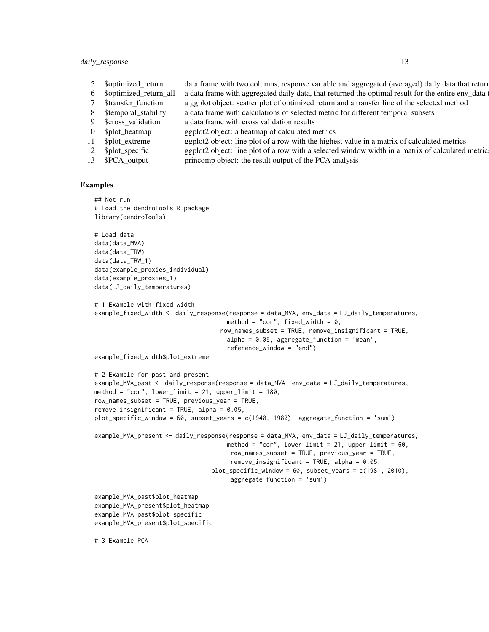#### daily\_response 13

- 5 \$optimized\_return data frame with two columns, response variable and aggregated (averaged) daily data that return 6 \$optimized\_return\_all a data frame with aggregated daily data, that returned the optimal result for the entire env\_data
- 7 \$transfer function a ggplot object: scatter plot of optimized return and a transfer line of the selected method
- 8 \$temporal\_stability a data frame with calculations of selected metric for different temporal subsets
- 9 \$cross validation a data frame with cross validation results
	-
- 10 \$plot\_heatmap ggplot2 object: a heatmap of calculated metrics
- 11 \$plot\_extreme ggplot2 object: line plot of a row with the highest value in a matrix of calculated metrics
- 12 \$plot\_specific ggplot2 object: line plot of a row with a selected window width in a matrix of calculated metrics
- 13 \$PCA output princomp object: the result output of the PCA analysis

# Examples

# Load data

```
## Not run:
# Load the dendroTools R package
library(dendroTools)
```

```
data(data_MVA)
data(data_TRW)
data(data_TRW_1)
data(example_proxies_individual)
data(example_proxies_1)
data(LJ_daily_temperatures)
```

```
# 1 Example with fixed width
example_fixed_width <- daily_response(response = data_MVA, env_data = LJ_daily_temperatures,
                                     method = "cor", fixed_width = 0,
```

```
row_names_subset = TRUE, remove_insignificant = TRUE,
 alpha = 0.05, aggregate_function = 'mean',
 reference_window = "end")
```
example\_fixed\_width\$plot\_extreme

```
# 2 Example for past and present
example_MVA_past <- daily_response(response = data_MVA, env_data = LJ_daily_temperatures,
method = "cor", lower_limit = 21, upper_limit = 180,
row_names_subset = TRUE, previous_year = TRUE,
remove_insignificant = TRUE, alpha = 0.05,
plot_specific_window = 60, subset_years = c(1940, 1980), aggregate_function = 'sum')
example_MVA_present <- daily_response(response = data_MVA, env_data = LJ_daily_temperatures,
                                     method = "cor", lower_limit = 21, upper_limit = 60,
                                      row_names_subset = TRUE, previous_year = TRUE,
                                      remove_insignificant = TRUE, alpha = 0.05,
                                 plot_specific_window = 60, subset_years = c(1981, 2010),
                                      aggregate_function = 'sum')
example_MVA_past$plot_heatmap
example_MVA_present$plot_heatmap
```
example\_MVA\_past\$plot\_specific example\_MVA\_present\$plot\_specific

# 3 Example PCA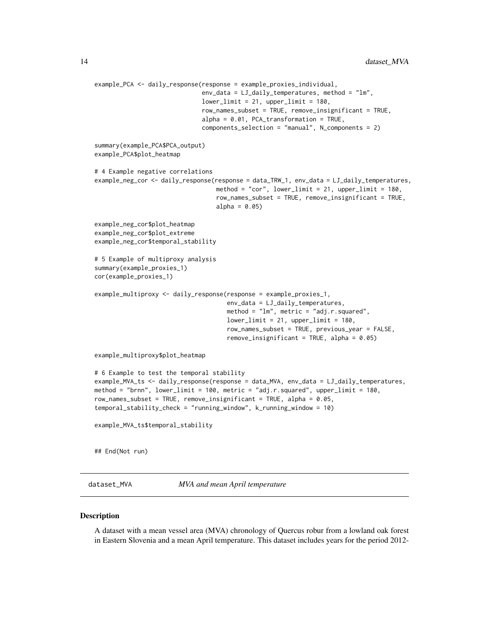```
example_PCA <- daily_response(response = example_proxies_individual,
                              env_data = LJ_daily_temperatures, method = "lm",
                              lower\_limit = 21, upper_limit = 180,
                              row_names_subset = TRUE, remove_insignificant = TRUE,
                              alpha = 0.01, PCA_transformation = TRUE,
                              components_selection = "manual", N_components = 2)
summary(example_PCA$PCA_output)
example_PCA$plot_heatmap
# 4 Example negative correlations
example_neg_cor <- daily_response(response = data_TRW_1, env_data = LJ_daily_temperatures,
                                  method = "cor", lower_limit = 21, upper_limit = 180,
                                  row_names_subset = TRUE, remove_insignificant = TRUE,
                                  alpha = 0.05example_neg_cor$plot_heatmap
example_neg_cor$plot_extreme
example_neg_cor$temporal_stability
# 5 Example of multiproxy analysis
summary(example_proxies_1)
cor(example_proxies_1)
example_multiproxy <- daily_response(response = example_proxies_1,
                                     env_data = LJ_daily_temperatures,
                                     method = "lm", metric = "adj.r.squared",
                                     lower\_limit = 21, upper_limit = 180,
                                     row_names_subset = TRUE, previous_year = FALSE,
                                     remove_insignificant = TRUE, alpha = 0.05)
example_multiproxy$plot_heatmap
# 6 Example to test the temporal stability
example_MVA_ts <- daily_response(response = data_MVA, env_data = LJ_daily_temperatures,
method = "brnn", lower_limit = 100, metric = "adj.r.squared", upper_limit = 180,
row_names_subset = TRUE, remove_insignificant = TRUE, alpha = 0.05,
temporal_stability_check = "running_window", k_running_window = 10)
example_MVA_ts$temporal_stability
## End(Not run)
```
dataset\_MVA *MVA and mean April temperature*

#### **Description**

A dataset with a mean vessel area (MVA) chronology of Quercus robur from a lowland oak forest in Eastern Slovenia and a mean April temperature. This dataset includes years for the period 2012-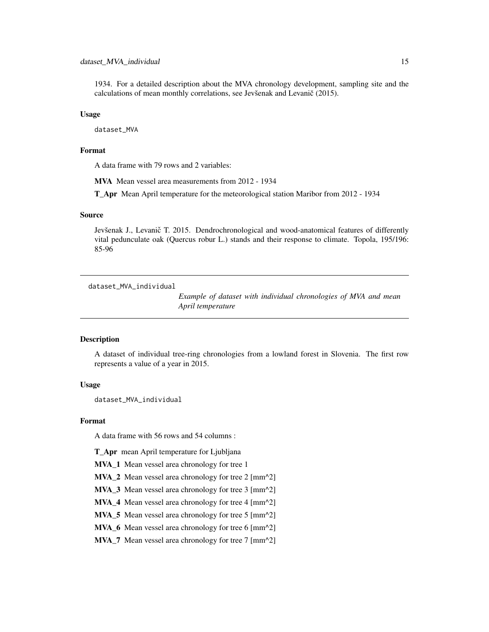<span id="page-14-0"></span>1934. For a detailed description about the MVA chronology development, sampling site and the calculations of mean monthly correlations, see Jevšenak and Levanič (2015).

#### Usage

dataset\_MVA

# Format

A data frame with 79 rows and 2 variables:

MVA Mean vessel area measurements from 2012 - 1934

T\_Apr Mean April temperature for the meteorological station Maribor from 2012 - 1934

#### Source

Jevšenak J., Levanič T. 2015. Dendrochronological and wood-anatomical features of differently vital pedunculate oak (Quercus robur L.) stands and their response to climate. Topola, 195/196: 85-96

#### dataset\_MVA\_individual

*Example of dataset with individual chronologies of MVA and mean April temperature*

#### **Description**

A dataset of individual tree-ring chronologies from a lowland forest in Slovenia. The first row represents a value of a year in 2015.

#### Usage

dataset\_MVA\_individual

#### Format

A data frame with 56 rows and 54 columns :

T\_Apr mean April temperature for Ljubljana

MVA\_1 Mean vessel area chronology for tree 1

MVA\_2 Mean vessel area chronology for tree 2 [mm^2]

MVA\_3 Mean vessel area chronology for tree 3 [mm^2]

MVA\_4 Mean vessel area chronology for tree 4 [mm^2]

MVA\_5 Mean vessel area chronology for tree 5 [mm^2]

MVA\_6 Mean vessel area chronology for tree 6 [mm^2]

MVA\_7 Mean vessel area chronology for tree 7 [mm^2]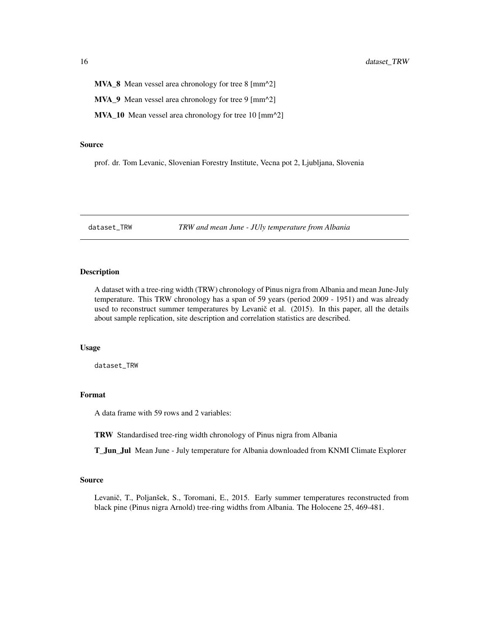<span id="page-15-0"></span>MVA\_8 Mean vessel area chronology for tree 8 [mm^2]

MVA\_9 Mean vessel area chronology for tree 9 [mm^2]

MVA\_10 Mean vessel area chronology for tree 10 [mm^2]

#### Source

prof. dr. Tom Levanic, Slovenian Forestry Institute, Vecna pot 2, Ljubljana, Slovenia

dataset\_TRW *TRW and mean June - JUly temperature from Albania*

# Description

A dataset with a tree-ring width (TRW) chronology of Pinus nigra from Albania and mean June-July temperature. This TRW chronology has a span of 59 years (period 2009 - 1951) and was already used to reconstruct summer temperatures by Levanič et al. (2015). In this paper, all the details about sample replication, site description and correlation statistics are described.

#### Usage

dataset\_TRW

# Format

A data frame with 59 rows and 2 variables:

TRW Standardised tree-ring width chronology of Pinus nigra from Albania

T\_Jun\_Jul Mean June - July temperature for Albania downloaded from KNMI Climate Explorer

#### Source

Levanič, T., Poljanšek, S., Toromani, E., 2015. Early summer temperatures reconstructed from black pine (Pinus nigra Arnold) tree-ring widths from Albania. The Holocene 25, 469-481.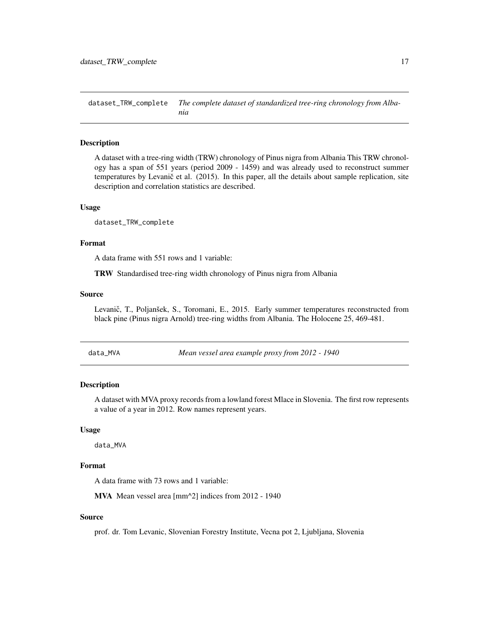<span id="page-16-0"></span>dataset\_TRW\_complete *The complete dataset of standardized tree-ring chronology from Albania*

### Description

A dataset with a tree-ring width (TRW) chronology of Pinus nigra from Albania This TRW chronology has a span of 551 years (period 2009 - 1459) and was already used to reconstruct summer temperatures by Levanič et al. (2015). In this paper, all the details about sample replication, site description and correlation statistics are described.

#### Usage

dataset\_TRW\_complete

# Format

A data frame with 551 rows and 1 variable:

TRW Standardised tree-ring width chronology of Pinus nigra from Albania

#### Source

Levanič, T., Poljanšek, S., Toromani, E., 2015. Early summer temperatures reconstructed from black pine (Pinus nigra Arnold) tree-ring widths from Albania. The Holocene 25, 469-481.

| data MVA |
|----------|
|----------|

Mean vessel area example proxy from 2012 - 1940

#### Description

A dataset with MVA proxy records from a lowland forest Mlace in Slovenia. The first row represents a value of a year in 2012. Row names represent years.

#### Usage

data\_MVA

# Format

A data frame with 73 rows and 1 variable:

MVA Mean vessel area [mm^2] indices from 2012 - 1940

#### Source

prof. dr. Tom Levanic, Slovenian Forestry Institute, Vecna pot 2, Ljubljana, Slovenia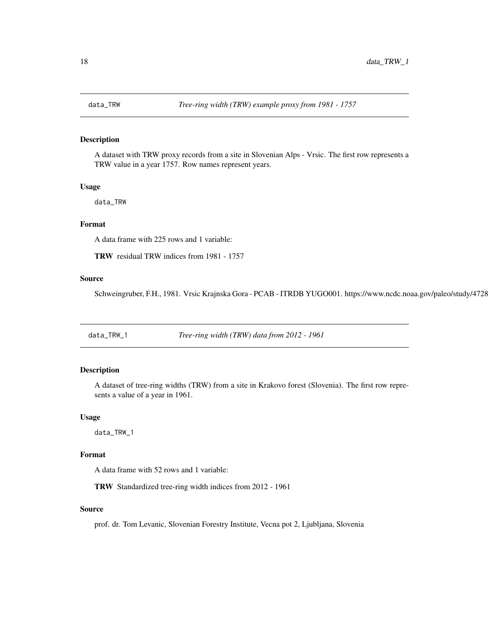<span id="page-17-0"></span>

# Description

A dataset with TRW proxy records from a site in Slovenian Alps - Vrsic. The first row represents a TRW value in a year 1757. Row names represent years.

#### Usage

data\_TRW

# Format

A data frame with 225 rows and 1 variable:

TRW residual TRW indices from 1981 - 1757

# Source

Schweingruber, F.H., 1981. Vrsic Krajnska Gora - PCAB - ITRDB YUGO001. https://www.ncdc.noaa.gov/paleo/study/4728.

data\_TRW\_1 *Tree-ring width (TRW) data from 2012 - 1961*

#### Description

A dataset of tree-ring widths (TRW) from a site in Krakovo forest (Slovenia). The first row represents a value of a year in 1961.

#### Usage

data\_TRW\_1

#### Format

A data frame with 52 rows and 1 variable:

TRW Standardized tree-ring width indices from 2012 - 1961

# Source

prof. dr. Tom Levanic, Slovenian Forestry Institute, Vecna pot 2, Ljubljana, Slovenia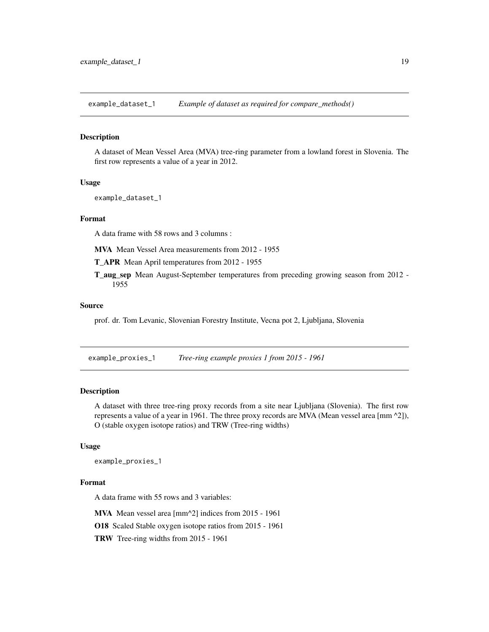<span id="page-18-0"></span>example\_dataset\_1 *Example of dataset as required for compare\_methods()*

#### **Description**

A dataset of Mean Vessel Area (MVA) tree-ring parameter from a lowland forest in Slovenia. The first row represents a value of a year in 2012.

#### Usage

```
example_dataset_1
```
# Format

A data frame with 58 rows and 3 columns :

MVA Mean Vessel Area measurements from 2012 - 1955

T\_APR Mean April temperatures from 2012 - 1955

T\_aug\_sep Mean August-September temperatures from preceding growing season from 2012 - 1955

#### Source

prof. dr. Tom Levanic, Slovenian Forestry Institute, Vecna pot 2, Ljubljana, Slovenia

example\_proxies\_1 *Tree-ring example proxies 1 from 2015 - 1961*

#### Description

A dataset with three tree-ring proxy records from a site near Ljubljana (Slovenia). The first row represents a value of a year in 1961. The three proxy records are MVA (Mean vessel area [mm ^2]), O (stable oxygen isotope ratios) and TRW (Tree-ring widths)

#### Usage

example\_proxies\_1

#### Format

A data frame with 55 rows and 3 variables:

MVA Mean vessel area [mm^2] indices from 2015 - 1961

O18 Scaled Stable oxygen isotope ratios from 2015 - 1961

TRW Tree-ring widths from 2015 - 1961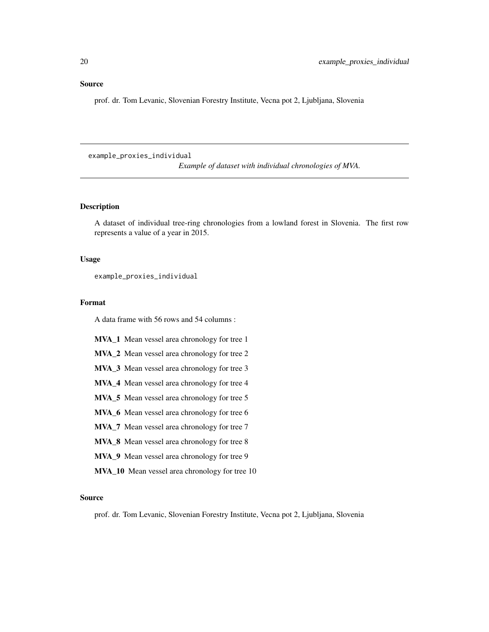<span id="page-19-0"></span>prof. dr. Tom Levanic, Slovenian Forestry Institute, Vecna pot 2, Ljubljana, Slovenia

example\_proxies\_individual

*Example of dataset with individual chronologies of MVA.*

# **Description**

A dataset of individual tree-ring chronologies from a lowland forest in Slovenia. The first row represents a value of a year in 2015.

# Usage

example\_proxies\_individual

# Format

A data frame with 56 rows and 54 columns :

- MVA\_1 Mean vessel area chronology for tree 1
- MVA\_2 Mean vessel area chronology for tree 2
- MVA\_3 Mean vessel area chronology for tree 3
- MVA\_4 Mean vessel area chronology for tree 4
- MVA\_5 Mean vessel area chronology for tree 5
- MVA\_6 Mean vessel area chronology for tree 6
- MVA\_7 Mean vessel area chronology for tree 7
- MVA\_8 Mean vessel area chronology for tree 8
- MVA\_9 Mean vessel area chronology for tree 9
- MVA\_10 Mean vessel area chronology for tree 10

#### Source

prof. dr. Tom Levanic, Slovenian Forestry Institute, Vecna pot 2, Ljubljana, Slovenia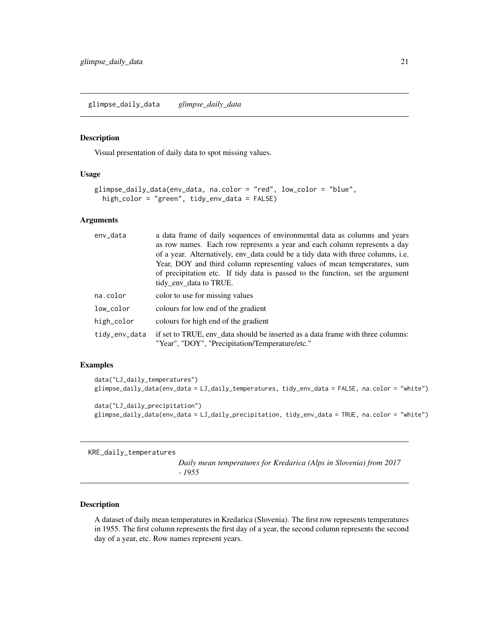#### <span id="page-20-0"></span>Description

Visual presentation of daily data to spot missing values.

### Usage

```
glimpse_daily_data(env_data, na.color = "red", low_color = "blue",
 high_color = "green", tidy_env_data = FALSE)
```
#### Arguments

| env_data      | a data frame of daily sequences of environmental data as columns and years<br>as row names. Each row represents a year and each column represents a day<br>of a year. Alternatively, env_data could be a tidy data with three columns, i.e.<br>Year, DOY and third column representing values of mean temperatures, sum<br>of precipitation etc. If tidy data is passed to the function, set the argument<br>tidy_env_data to TRUE. |  |
|---------------|-------------------------------------------------------------------------------------------------------------------------------------------------------------------------------------------------------------------------------------------------------------------------------------------------------------------------------------------------------------------------------------------------------------------------------------|--|
| na.color      | color to use for missing values                                                                                                                                                                                                                                                                                                                                                                                                     |  |
| low_color     | colours for low end of the gradient                                                                                                                                                                                                                                                                                                                                                                                                 |  |
| high_color    | colours for high end of the gradient                                                                                                                                                                                                                                                                                                                                                                                                |  |
| tidy_env_data | if set to TRUE, env_data should be inserted as a data frame with three columns:<br>"Year", "DOY", "Precipitation/Temperature/etc."                                                                                                                                                                                                                                                                                                  |  |

# Examples

```
data("LJ_daily_temperatures")
glimpse_daily_data(env_data = LJ_daily_temperatures, tidy_env_data = FALSE, na.color = "white")
data("LJ_daily_precipitation")
glimpse_daily_data(env_data = LJ_daily_precipitation, tidy_env_data = TRUE, na.color = "white")
```
KRE\_daily\_temperatures

*Daily mean temperatures for Kredarica (Alps in Slovenia) from 2017 - 1955*

# Description

A dataset of daily mean temperatures in Kredarica (Slovenia). The first row represents temperatures in 1955. The first column represents the first day of a year, the second column represents the second day of a year, etc. Row names represent years.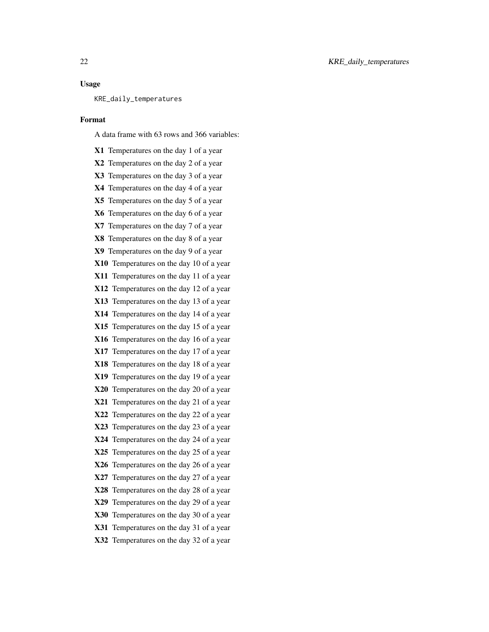#### Usage

KRE\_daily\_temperatures

#### Format

A data frame with 63 rows and 366 variables:

X1 Temperatures on the day 1 of a year X2 Temperatures on the day 2 of a year X3 Temperatures on the day 3 of a year X4 Temperatures on the day 4 of a year X5 Temperatures on the day 5 of a year X6 Temperatures on the day 6 of a year X7 Temperatures on the day 7 of a year X8 Temperatures on the day 8 of a year X9 Temperatures on the day 9 of a year X10 Temperatures on the day 10 of a year X11 Temperatures on the day 11 of a year X12 Temperatures on the day 12 of a year X13 Temperatures on the day 13 of a year X14 Temperatures on the day 14 of a year X15 Temperatures on the day 15 of a year X16 Temperatures on the day 16 of a year X17 Temperatures on the day 17 of a year X18 Temperatures on the day 18 of a year X19 Temperatures on the day 19 of a year X20 Temperatures on the day 20 of a year X21 Temperatures on the day 21 of a year X22 Temperatures on the day 22 of a year X23 Temperatures on the day 23 of a year X24 Temperatures on the day 24 of a year X25 Temperatures on the day 25 of a year X26 Temperatures on the day 26 of a year X27 Temperatures on the day 27 of a year X28 Temperatures on the day 28 of a year X29 Temperatures on the day 29 of a year X30 Temperatures on the day 30 of a year X31 Temperatures on the day 31 of a year X32 Temperatures on the day 32 of a year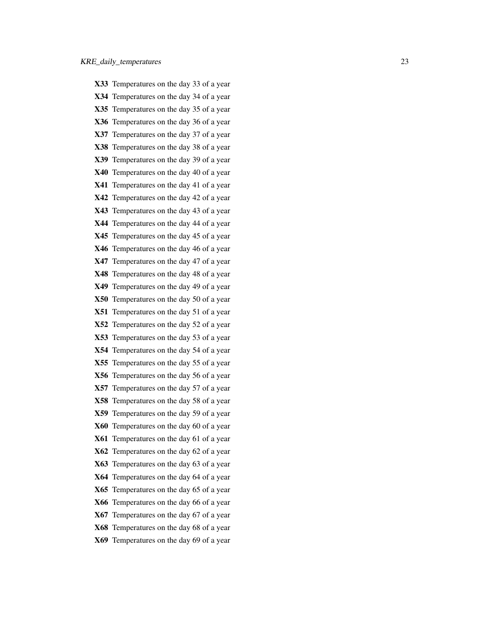X33 Temperatures on the day 33 of a year X34 Temperatures on the day 34 of a year X35 Temperatures on the day 35 of a year X36 Temperatures on the day 36 of a year X37 Temperatures on the day 37 of a year X38 Temperatures on the day 38 of a year X39 Temperatures on the day 39 of a year X40 Temperatures on the day 40 of a year X41 Temperatures on the day 41 of a year X42 Temperatures on the day 42 of a year X43 Temperatures on the day 43 of a year X44 Temperatures on the day 44 of a year X45 Temperatures on the day 45 of a year X46 Temperatures on the day 46 of a year X47 Temperatures on the day 47 of a year X48 Temperatures on the day 48 of a year X49 Temperatures on the day 49 of a year X50 Temperatures on the day 50 of a year X51 Temperatures on the day 51 of a year X52 Temperatures on the day 52 of a year X53 Temperatures on the day 53 of a year X54 Temperatures on the day 54 of a year X55 Temperatures on the day 55 of a year X56 Temperatures on the day 56 of a year X57 Temperatures on the day 57 of a year X58 Temperatures on the day 58 of a year X59 Temperatures on the day 59 of a year X60 Temperatures on the day 60 of a year X61 Temperatures on the day 61 of a year X62 Temperatures on the day 62 of a year X63 Temperatures on the day 63 of a year X64 Temperatures on the day 64 of a year X65 Temperatures on the day 65 of a year X66 Temperatures on the day 66 of a year X67 Temperatures on the day 67 of a year X68 Temperatures on the day 68 of a year X69 Temperatures on the day 69 of a year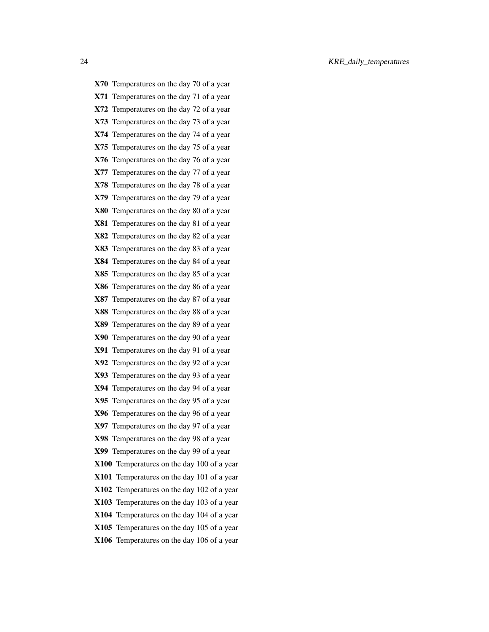X70 Temperatures on the day 70 of a year X71 Temperatures on the day 71 of a year X72 Temperatures on the day 72 of a year X73 Temperatures on the day 73 of a year X74 Temperatures on the day 74 of a year X75 Temperatures on the day 75 of a year X76 Temperatures on the day 76 of a year X77 Temperatures on the day 77 of a year X78 Temperatures on the day 78 of a year X79 Temperatures on the day 79 of a year X80 Temperatures on the day 80 of a year X81 Temperatures on the day 81 of a year X82 Temperatures on the day 82 of a year X83 Temperatures on the day 83 of a year X84 Temperatures on the day 84 of a year X85 Temperatures on the day 85 of a year X86 Temperatures on the day 86 of a year X87 Temperatures on the day 87 of a year X88 Temperatures on the day 88 of a year X89 Temperatures on the day 89 of a year X90 Temperatures on the day 90 of a year X91 Temperatures on the day 91 of a year X92 Temperatures on the day 92 of a year X93 Temperatures on the day 93 of a year X94 Temperatures on the day 94 of a year X95 Temperatures on the day 95 of a year X96 Temperatures on the day 96 of a year X97 Temperatures on the day 97 of a year X98 Temperatures on the day 98 of a year X99 Temperatures on the day 99 of a year X100 Temperatures on the day 100 of a year X101 Temperatures on the day 101 of a year X102 Temperatures on the day 102 of a year X103 Temperatures on the day 103 of a year X104 Temperatures on the day 104 of a year X105 Temperatures on the day 105 of a year X106 Temperatures on the day 106 of a year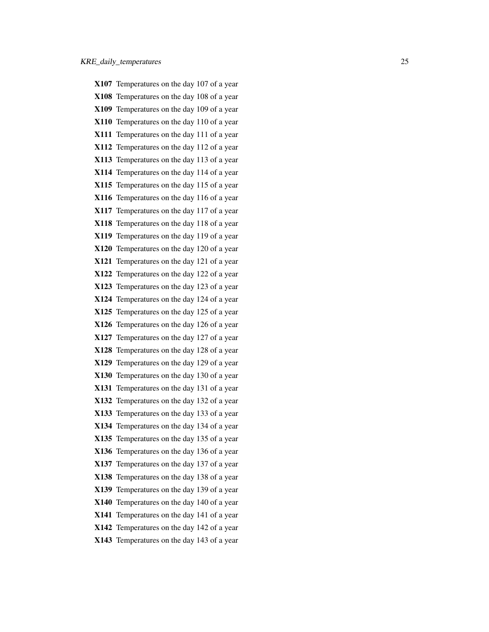|      | X107 Temperatures on the day 107 of a year |
|------|--------------------------------------------|
|      | X108 Temperatures on the day 108 of a year |
|      | X109 Temperatures on the day 109 of a year |
|      | X110 Temperatures on the day 110 of a year |
|      | X111 Temperatures on the day 111 of a year |
|      | X112 Temperatures on the day 112 of a year |
|      | X113 Temperatures on the day 113 of a year |
|      | X114 Temperatures on the day 114 of a year |
|      | X115 Temperatures on the day 115 of a year |
|      | X116 Temperatures on the day 116 of a year |
|      | X117 Temperatures on the day 117 of a year |
|      | X118 Temperatures on the day 118 of a year |
|      | X119 Temperatures on the day 119 of a year |
|      | X120 Temperatures on the day 120 of a year |
|      | X121 Temperatures on the day 121 of a year |
|      | X122 Temperatures on the day 122 of a year |
|      | X123 Temperatures on the day 123 of a year |
|      | X124 Temperatures on the day 124 of a year |
|      | X125 Temperatures on the day 125 of a year |
|      | X126 Temperatures on the day 126 of a year |
|      | X127 Temperatures on the day 127 of a year |
|      | X128 Temperatures on the day 128 of a year |
|      | X129 Temperatures on the day 129 of a year |
|      | X130 Temperatures on the day 130 of a year |
|      | X131 Temperatures on the day 131 of a year |
|      | X132 Temperatures on the day 132 of a year |
|      | X133 Temperatures on the day 133 of a year |
|      | X134 Temperatures on the day 134 of a year |
|      | X135 Temperatures on the day 135 of a year |
|      | X136 Temperatures on the day 136 of a year |
|      | X137 Temperatures on the day 137 of a year |
|      | X138 Temperatures on the day 138 of a year |
| X139 | Temperatures on the day 139 of a year      |
|      | X140 Temperatures on the day 140 of a year |
| X141 | Temperatures on the day 141 of a year      |
|      | X142 Temperatures on the day 142 of a year |
|      | X143 Temperatures on the day 143 of a year |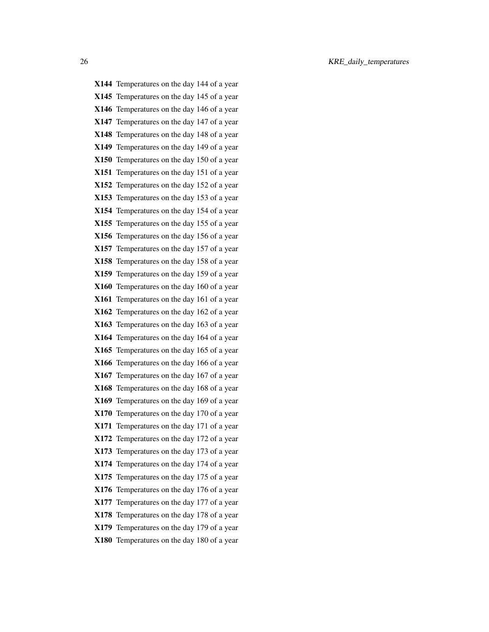| X144 Temperatures on the day 144 of a year |
|--------------------------------------------|
| X145 Temperatures on the day 145 of a year |
| X146 Temperatures on the day 146 of a year |
| X147 Temperatures on the day 147 of a year |
| X148 Temperatures on the day 148 of a year |
| X149 Temperatures on the day 149 of a year |
| X150 Temperatures on the day 150 of a year |
| X151 Temperatures on the day 151 of a year |
| X152 Temperatures on the day 152 of a year |
| X153 Temperatures on the day 153 of a year |
| X154 Temperatures on the day 154 of a year |
| X155 Temperatures on the day 155 of a year |
| X156 Temperatures on the day 156 of a year |
| X157 Temperatures on the day 157 of a year |
| X158 Temperatures on the day 158 of a year |
| X159 Temperatures on the day 159 of a year |
| X160 Temperatures on the day 160 of a year |
| X161 Temperatures on the day 161 of a year |
| X162 Temperatures on the day 162 of a year |
| X163 Temperatures on the day 163 of a year |
| X164 Temperatures on the day 164 of a year |
| X165 Temperatures on the day 165 of a year |
| X166 Temperatures on the day 166 of a year |
| X167 Temperatures on the day 167 of a year |
| X168 Temperatures on the day 168 of a year |
| X169 Temperatures on the day 169 of a year |
| X170 Temperatures on the day 170 of a year |
| X171 Temperatures on the day 171 of a year |
| X172 Temperatures on the day 172 of a year |
| X173 Temperatures on the day 173 of a year |
| X174 Temperatures on the day 174 of a year |
| X175 Temperatures on the day 175 of a year |
| X176 Temperatures on the day 176 of a year |
| X177 Temperatures on the day 177 of a year |
| X178 Temperatures on the day 178 of a year |
| X179 Temperatures on the day 179 of a year |
| X180 Temperatures on the day 180 of a year |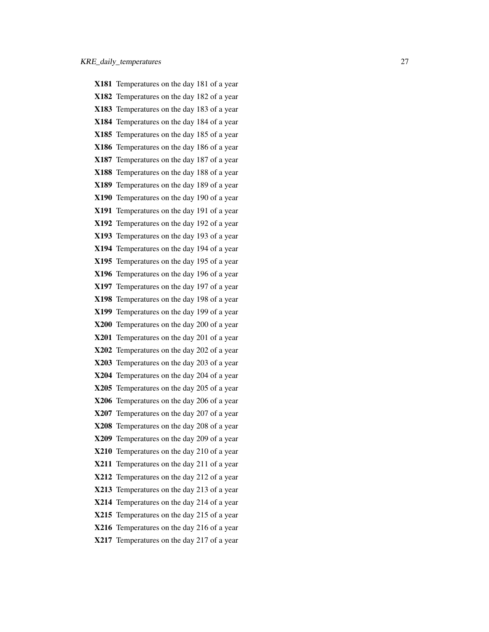X181 Temperatures on the day 181 of a year X182 Temperatures on the day 182 of a year X183 Temperatures on the day 183 of a year X184 Temperatures on the day 184 of a year X185 Temperatures on the day 185 of a year X186 Temperatures on the day 186 of a year X187 Temperatures on the day 187 of a year X188 Temperatures on the day 188 of a year X189 Temperatures on the day 189 of a year X190 Temperatures on the day 190 of a year X191 Temperatures on the day 191 of a year X192 Temperatures on the day 192 of a year X193 Temperatures on the day 193 of a year X194 Temperatures on the day 194 of a year X195 Temperatures on the day 195 of a year X196 Temperatures on the day 196 of a year X197 Temperatures on the day 197 of a year X198 Temperatures on the day 198 of a year X199 Temperatures on the day 199 of a year X200 Temperatures on the day 200 of a year X201 Temperatures on the day 201 of a year X202 Temperatures on the day 202 of a year X203 Temperatures on the day 203 of a year X204 Temperatures on the day 204 of a year X205 Temperatures on the day 205 of a year X206 Temperatures on the day 206 of a year X207 Temperatures on the day 207 of a year X208 Temperatures on the day 208 of a year X209 Temperatures on the day 209 of a year X210 Temperatures on the day 210 of a year X211 Temperatures on the day 211 of a year X212 Temperatures on the day 212 of a year X213 Temperatures on the day 213 of a year X214 Temperatures on the day 214 of a year X215 Temperatures on the day 215 of a year X216 Temperatures on the day 216 of a year X217 Temperatures on the day 217 of a year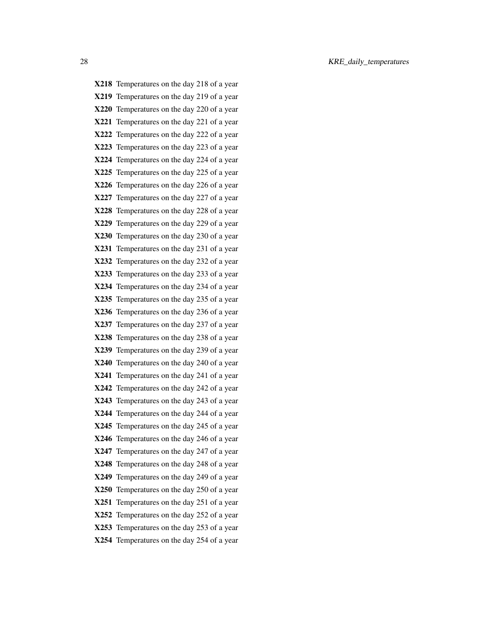|      | X218 Temperatures on the day 218 of a year |
|------|--------------------------------------------|
|      | X219 Temperatures on the day 219 of a year |
|      | X220 Temperatures on the day 220 of a year |
|      | X221 Temperatures on the day 221 of a year |
|      | X222 Temperatures on the day 222 of a year |
|      | X223 Temperatures on the day 223 of a year |
|      | X224 Temperatures on the day 224 of a year |
|      | X225 Temperatures on the day 225 of a year |
|      | X226 Temperatures on the day 226 of a year |
|      | X227 Temperatures on the day 227 of a year |
|      | X228 Temperatures on the day 228 of a year |
|      | X229 Temperatures on the day 229 of a year |
|      | X230 Temperatures on the day 230 of a year |
|      | X231 Temperatures on the day 231 of a year |
|      | X232 Temperatures on the day 232 of a year |
|      | X233 Temperatures on the day 233 of a year |
|      | X234 Temperatures on the day 234 of a year |
|      | X235 Temperatures on the day 235 of a year |
|      | X236 Temperatures on the day 236 of a year |
|      | X237 Temperatures on the day 237 of a year |
|      | X238 Temperatures on the day 238 of a year |
|      | X239 Temperatures on the day 239 of a year |
|      | X240 Temperatures on the day 240 of a year |
|      | X241 Temperatures on the day 241 of a year |
|      | X242 Temperatures on the day 242 of a year |
|      | X243 Temperatures on the day 243 of a year |
|      | X244 Temperatures on the day 244 of a year |
|      | X245 Temperatures on the day 245 of a year |
|      | X246 Temperatures on the day 246 of a year |
|      | X247 Temperatures on the day 247 of a year |
|      | X248 Temperatures on the day 248 of a year |
|      | X249 Temperatures on the day 249 of a year |
| X250 | Temperatures on the day 250 of a year      |
| X251 | Temperatures on the day 251 of a year      |
|      | X252 Temperatures on the day 252 of a year |
|      | X253 Temperatures on the day 253 of a year |
|      | X254 Temperatures on the day 254 of a year |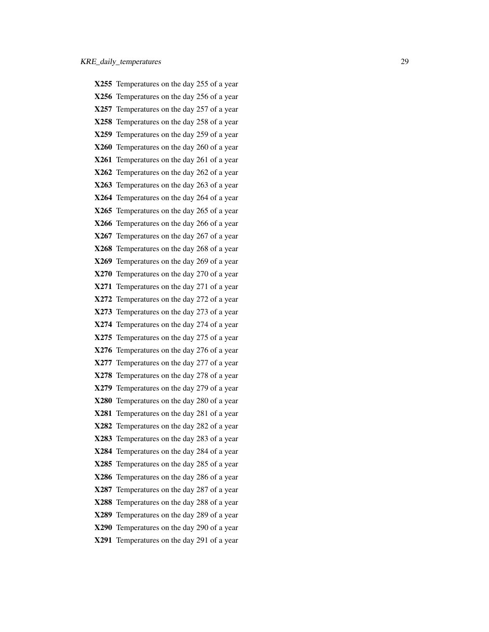|      | X255 Temperatures on the day 255 of a year |
|------|--------------------------------------------|
|      | X256 Temperatures on the day 256 of a year |
|      | X257 Temperatures on the day 257 of a year |
|      | X258 Temperatures on the day 258 of a year |
|      | X259 Temperatures on the day 259 of a year |
|      | X260 Temperatures on the day 260 of a year |
|      | X261 Temperatures on the day 261 of a year |
|      | X262 Temperatures on the day 262 of a year |
|      | X263 Temperatures on the day 263 of a year |
|      | X264 Temperatures on the day 264 of a year |
|      | X265 Temperatures on the day 265 of a year |
|      | X266 Temperatures on the day 266 of a year |
|      | X267 Temperatures on the day 267 of a year |
|      | X268 Temperatures on the day 268 of a year |
|      | X269 Temperatures on the day 269 of a year |
|      | X270 Temperatures on the day 270 of a year |
|      | X271 Temperatures on the day 271 of a year |
|      | X272 Temperatures on the day 272 of a year |
|      | X273 Temperatures on the day 273 of a year |
|      | X274 Temperatures on the day 274 of a year |
|      | X275 Temperatures on the day 275 of a year |
|      | X276 Temperatures on the day 276 of a year |
|      | X277 Temperatures on the day 277 of a year |
|      | X278 Temperatures on the day 278 of a year |
|      | X279 Temperatures on the day 279 of a year |
|      | X280 Temperatures on the day 280 of a year |
|      | X281 Temperatures on the day 281 of a year |
|      | X282 Temperatures on the day 282 of a year |
|      | X283 Temperatures on the day 283 of a year |
|      | X284 Temperatures on the day 284 of a year |
|      | X285 Temperatures on the day 285 of a year |
|      | X286 Temperatures on the day 286 of a year |
| X287 | Temperatures on the day 287 of a year      |
|      | X288 Temperatures on the day 288 of a year |
|      | X289 Temperatures on the day 289 of a year |
|      | X290 Temperatures on the day 290 of a year |
|      | X291 Temperatures on the day 291 of a year |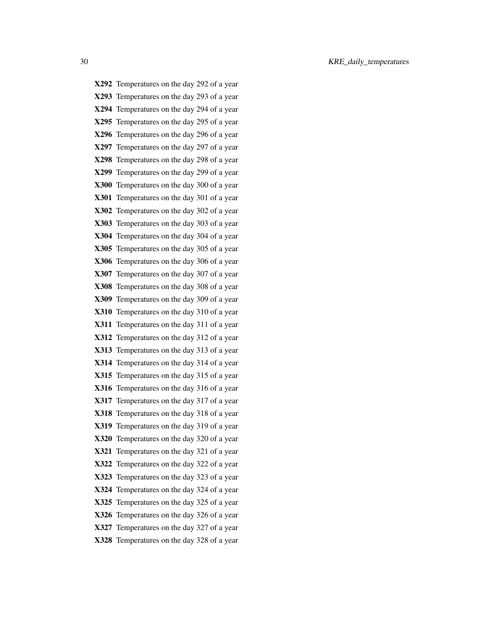X292 Temperatures on the day 292 of a year X293 Temperatures on the day 293 of a year X294 Temperatures on the day 294 of a year X295 Temperatures on the day 295 of a year X296 Temperatures on the day 296 of a year X297 Temperatures on the day 297 of a year X298 Temperatures on the day 298 of a year X299 Temperatures on the day 299 of a year X300 Temperatures on the day 300 of a year X301 Temperatures on the day 301 of a year X302 Temperatures on the day 302 of a year X303 Temperatures on the day 303 of a year X304 Temperatures on the day 304 of a year X305 Temperatures on the day 305 of a year X306 Temperatures on the day 306 of a year X307 Temperatures on the day 307 of a year X308 Temperatures on the day 308 of a year X309 Temperatures on the day 309 of a year X310 Temperatures on the day 310 of a year X311 Temperatures on the day 311 of a year X312 Temperatures on the day 312 of a year X313 Temperatures on the day 313 of a year X314 Temperatures on the day 314 of a year X315 Temperatures on the day 315 of a year X316 Temperatures on the day 316 of a year X317 Temperatures on the day 317 of a year X318 Temperatures on the day 318 of a year X319 Temperatures on the day 319 of a year X320 Temperatures on the day 320 of a year X321 Temperatures on the day 321 of a year X322 Temperatures on the day 322 of a year X323 Temperatures on the day 323 of a year X324 Temperatures on the day 324 of a year X325 Temperatures on the day 325 of a year X326 Temperatures on the day 326 of a year X327 Temperatures on the day 327 of a year X328 Temperatures on the day 328 of a year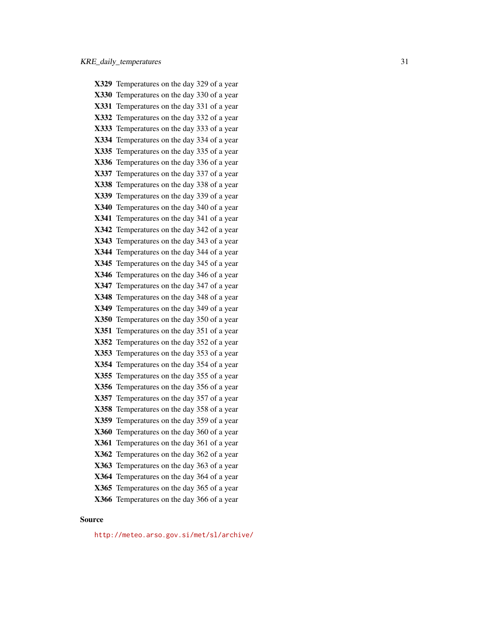|      | X329 Temperatures on the day 329 of a year |
|------|--------------------------------------------|
|      | X330 Temperatures on the day 330 of a year |
|      | X331 Temperatures on the day 331 of a year |
|      | X332 Temperatures on the day 332 of a year |
|      | X333 Temperatures on the day 333 of a year |
|      | X334 Temperatures on the day 334 of a year |
|      | X335 Temperatures on the day 335 of a year |
|      | X336 Temperatures on the day 336 of a year |
| X337 | Temperatures on the day 337 of a year      |
|      | X338 Temperatures on the day 338 of a year |
|      | X339 Temperatures on the day 339 of a year |
|      | X340 Temperatures on the day 340 of a year |
|      | X341 Temperatures on the day 341 of a year |
|      | X342 Temperatures on the day 342 of a year |
|      | X343 Temperatures on the day 343 of a year |
|      | X344 Temperatures on the day 344 of a year |
|      | X345 Temperatures on the day 345 of a year |
|      | X346 Temperatures on the day 346 of a year |
|      | X347 Temperatures on the day 347 of a year |
|      | X348 Temperatures on the day 348 of a year |
| X349 | Temperatures on the day 349 of a year      |
|      | X350 Temperatures on the day 350 of a year |
|      | X351 Temperatures on the day 351 of a year |
|      | X352 Temperatures on the day 352 of a year |
|      | X353 Temperatures on the day 353 of a year |
| X354 | Temperatures on the day 354 of a year      |
| X355 | Temperatures on the day 355 of a year      |
|      | X356 Temperatures on the day 356 of a year |
|      | X357 Temperatures on the day 357 of a year |
|      | X358 Temperatures on the day 358 of a year |
|      | X359 Temperatures on the day 359 of a year |
|      | X360 Temperatures on the day 360 of a year |
|      | X361 Temperatures on the day 361 of a year |
| X362 | Temperatures on the day 362 of a year      |
| X363 | Temperatures on the day 363 of a year      |
| X364 | Temperatures on the day 364 of a year      |
| X365 | Temperatures on the day 365 of a year      |
| X366 | Temperatures on the day 366 of a year      |

# Source

<http://meteo.arso.gov.si/met/sl/archive/>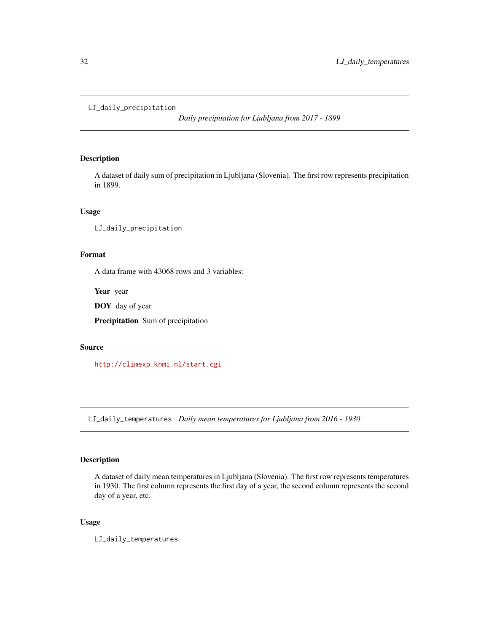### <span id="page-31-0"></span>LJ\_daily\_precipitation

*Daily precipitation for Ljubljana from 2017 - 1899*

# Description

A dataset of daily sum of precipitation in Ljubljana (Slovenia). The first row represents precipitation in 1899.

# Usage

LJ\_daily\_precipitation

# Format

A data frame with 43068 rows and 3 variables:

Year year

DOY day of year

Precipitation Sum of precipitation

#### Source

<http://climexp.knmi.nl/start.cgi>

LJ\_daily\_temperatures *Daily mean temperatures for Ljubljana from 2016 - 1930*

# Description

A dataset of daily mean temperatures in Ljubljana (Slovenia). The first row represents temperatures in 1930. The first column represents the first day of a year, the second column represents the second day of a year, etc.

# Usage

LJ\_daily\_temperatures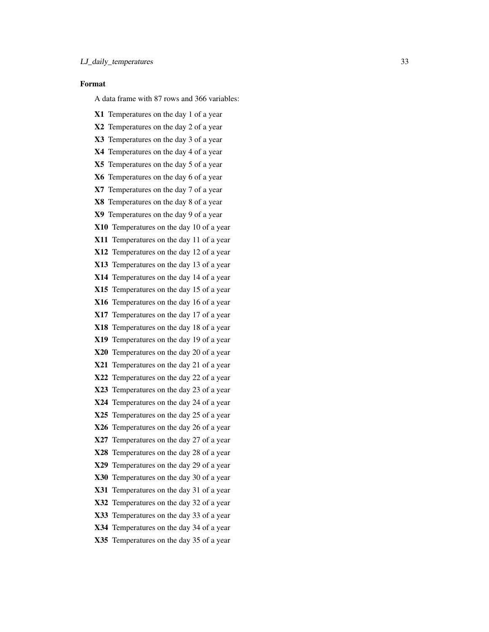### Format

A data frame with 87 rows and 366 variables:

X1 Temperatures on the day 1 of a year X2 Temperatures on the day 2 of a year X3 Temperatures on the day 3 of a year X4 Temperatures on the day 4 of a year X5 Temperatures on the day 5 of a year X6 Temperatures on the day 6 of a year X7 Temperatures on the day 7 of a year X8 Temperatures on the day 8 of a year X9 Temperatures on the day 9 of a year X10 Temperatures on the day 10 of a year X11 Temperatures on the day 11 of a year X12 Temperatures on the day 12 of a year X13 Temperatures on the day 13 of a year X14 Temperatures on the day 14 of a year X15 Temperatures on the day 15 of a year X16 Temperatures on the day 16 of a year X17 Temperatures on the day 17 of a year X18 Temperatures on the day 18 of a year X19 Temperatures on the day 19 of a year X20 Temperatures on the day 20 of a year X21 Temperatures on the day 21 of a year X22 Temperatures on the day 22 of a year X23 Temperatures on the day 23 of a year X24 Temperatures on the day 24 of a year X25 Temperatures on the day 25 of a year X26 Temperatures on the day 26 of a year X27 Temperatures on the day 27 of a year X28 Temperatures on the day 28 of a year X29 Temperatures on the day 29 of a year X30 Temperatures on the day 30 of a year X31 Temperatures on the day 31 of a year X32 Temperatures on the day 32 of a year X33 Temperatures on the day 33 of a year X34 Temperatures on the day 34 of a year X35 Temperatures on the day 35 of a year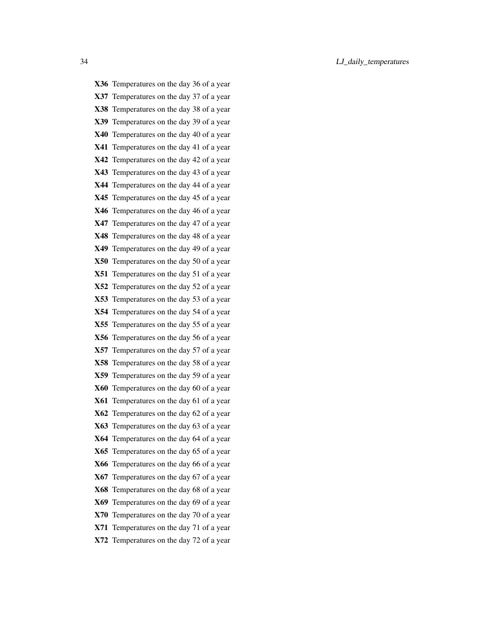X36 Temperatures on the day 36 of a year X37 Temperatures on the day 37 of a year X38 Temperatures on the day 38 of a year X39 Temperatures on the day 39 of a year X40 Temperatures on the day 40 of a year X41 Temperatures on the day 41 of a year X42 Temperatures on the day 42 of a year X43 Temperatures on the day 43 of a year X44 Temperatures on the day 44 of a year X45 Temperatures on the day 45 of a year X46 Temperatures on the day 46 of a year X47 Temperatures on the day 47 of a year X48 Temperatures on the day 48 of a year X49 Temperatures on the day 49 of a year X50 Temperatures on the day 50 of a year X51 Temperatures on the day 51 of a year X52 Temperatures on the day 52 of a year X53 Temperatures on the day 53 of a year X54 Temperatures on the day 54 of a year X55 Temperatures on the day 55 of a year X56 Temperatures on the day 56 of a year X57 Temperatures on the day 57 of a year X58 Temperatures on the day 58 of a year X59 Temperatures on the day 59 of a year X60 Temperatures on the day 60 of a year X61 Temperatures on the day 61 of a year X62 Temperatures on the day 62 of a year X63 Temperatures on the day 63 of a year X64 Temperatures on the day 64 of a year X65 Temperatures on the day 65 of a year X66 Temperatures on the day 66 of a year X67 Temperatures on the day 67 of a year X68 Temperatures on the day 68 of a year X69 Temperatures on the day 69 of a year X70 Temperatures on the day 70 of a year X71 Temperatures on the day 71 of a year X72 Temperatures on the day 72 of a year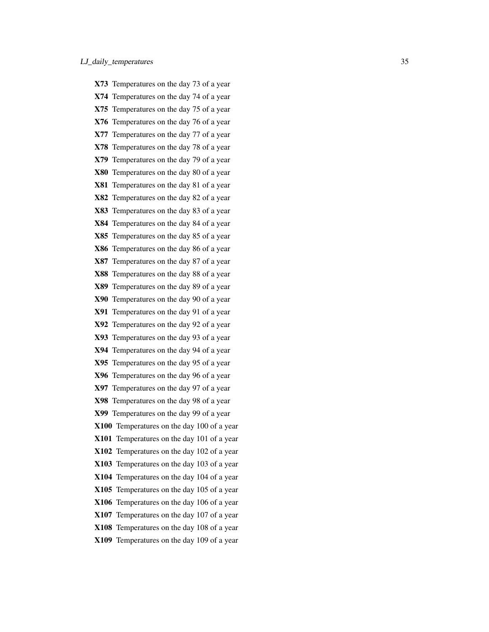X73 Temperatures on the day 73 of a year X74 Temperatures on the day 74 of a year X75 Temperatures on the day 75 of a year X76 Temperatures on the day 76 of a year X77 Temperatures on the day 77 of a year X78 Temperatures on the day 78 of a year X79 Temperatures on the day 79 of a year X80 Temperatures on the day 80 of a year X81 Temperatures on the day 81 of a year X82 Temperatures on the day 82 of a year X83 Temperatures on the day 83 of a year X84 Temperatures on the day 84 of a year X85 Temperatures on the day 85 of a year X86 Temperatures on the day 86 of a year X87 Temperatures on the day 87 of a year X88 Temperatures on the day 88 of a year X89 Temperatures on the day 89 of a year X90 Temperatures on the day 90 of a year X91 Temperatures on the day 91 of a year X92 Temperatures on the day 92 of a year X93 Temperatures on the day 93 of a year X94 Temperatures on the day 94 of a year X95 Temperatures on the day 95 of a year X96 Temperatures on the day 96 of a year X97 Temperatures on the day 97 of a year X98 Temperatures on the day 98 of a year X99 Temperatures on the day 99 of a year X100 Temperatures on the day 100 of a year X101 Temperatures on the day 101 of a year X102 Temperatures on the day 102 of a year X103 Temperatures on the day 103 of a year X104 Temperatures on the day 104 of a year X105 Temperatures on the day 105 of a year X106 Temperatures on the day 106 of a year X107 Temperatures on the day 107 of a year X108 Temperatures on the day 108 of a year X109 Temperatures on the day 109 of a year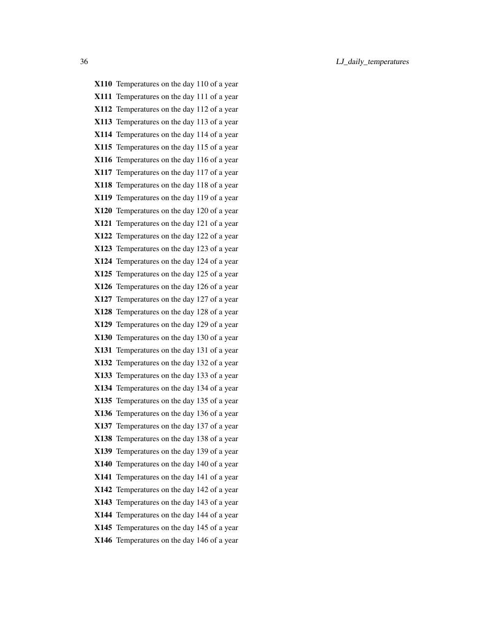X110 Temperatures on the day 110 of a year X111 Temperatures on the day 111 of a year X112 Temperatures on the day 112 of a year X113 Temperatures on the day 113 of a year X114 Temperatures on the day 114 of a year X115 Temperatures on the day 115 of a year X116 Temperatures on the day 116 of a year X117 Temperatures on the day 117 of a year X118 Temperatures on the day 118 of a year X119 Temperatures on the day 119 of a year X120 Temperatures on the day 120 of a year X121 Temperatures on the day 121 of a year X122 Temperatures on the day 122 of a year X123 Temperatures on the day 123 of a year X124 Temperatures on the day 124 of a year X125 Temperatures on the day 125 of a year X126 Temperatures on the day 126 of a year X127 Temperatures on the day 127 of a year X128 Temperatures on the day 128 of a year X129 Temperatures on the day 129 of a year X130 Temperatures on the day 130 of a year X131 Temperatures on the day 131 of a year X132 Temperatures on the day 132 of a year X133 Temperatures on the day 133 of a year X134 Temperatures on the day 134 of a year X135 Temperatures on the day 135 of a year X136 Temperatures on the day 136 of a year X137 Temperatures on the day 137 of a year X138 Temperatures on the day 138 of a year X139 Temperatures on the day 139 of a year X140 Temperatures on the day 140 of a year X141 Temperatures on the day 141 of a year X142 Temperatures on the day 142 of a year X143 Temperatures on the day 143 of a year X144 Temperatures on the day 144 of a year X145 Temperatures on the day 145 of a year X146 Temperatures on the day 146 of a year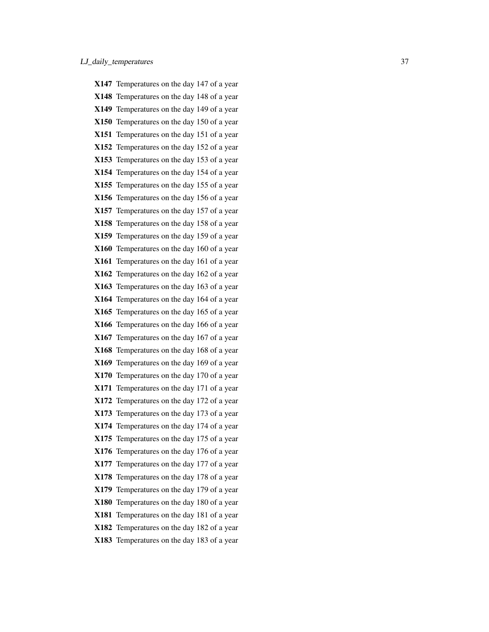|             | X147 Temperatures on the day 147 of a year |
|-------------|--------------------------------------------|
|             | X148 Temperatures on the day 148 of a year |
|             | X149 Temperatures on the day 149 of a year |
|             | X150 Temperatures on the day 150 of a year |
|             | X151 Temperatures on the day 151 of a year |
|             | X152 Temperatures on the day 152 of a year |
|             | X153 Temperatures on the day 153 of a year |
|             | X154 Temperatures on the day 154 of a year |
|             | X155 Temperatures on the day 155 of a year |
|             | X156 Temperatures on the day 156 of a year |
|             | X157 Temperatures on the day 157 of a year |
|             | X158 Temperatures on the day 158 of a year |
|             | X159 Temperatures on the day 159 of a year |
|             | X160 Temperatures on the day 160 of a year |
|             | X161 Temperatures on the day 161 of a year |
|             | X162 Temperatures on the day 162 of a year |
|             | X163 Temperatures on the day 163 of a year |
|             | X164 Temperatures on the day 164 of a year |
|             | X165 Temperatures on the day 165 of a year |
|             | X166 Temperatures on the day 166 of a year |
|             | X167 Temperatures on the day 167 of a year |
|             | X168 Temperatures on the day 168 of a year |
|             | X169 Temperatures on the day 169 of a year |
|             | X170 Temperatures on the day 170 of a year |
| X171        | Temperatures on the day 171 of a year      |
|             | X172 Temperatures on the day 172 of a year |
|             | X173 Temperatures on the day 173 of a year |
|             | X174 Temperatures on the day 174 of a year |
|             | X175 Temperatures on the day 175 of a year |
|             | X176 Temperatures on the day 176 of a year |
| X177        | Temperatures on the day 177 of a year      |
| <b>X178</b> | Temperatures on the day 178 of a year      |
| X179        | Temperatures on the day 179 of a year      |
| X180        | Temperatures on the day 180 of a year      |
| <b>X181</b> | Temperatures on the day 181 of a year      |
|             | X182 Temperatures on the day 182 of a year |
|             | X183 Temperatures on the day 183 of a year |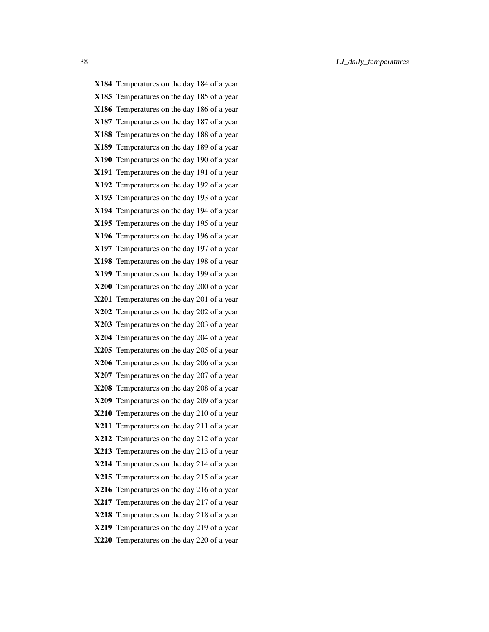X184 Temperatures on the day 184 of a year X185 Temperatures on the day 185 of a year X186 Temperatures on the day 186 of a year X187 Temperatures on the day 187 of a year X188 Temperatures on the day 188 of a year X189 Temperatures on the day 189 of a year X190 Temperatures on the day 190 of a year X191 Temperatures on the day 191 of a year X192 Temperatures on the day 192 of a year X193 Temperatures on the day 193 of a year X194 Temperatures on the day 194 of a year X195 Temperatures on the day 195 of a year X196 Temperatures on the day 196 of a year X197 Temperatures on the day 197 of a year X198 Temperatures on the day 198 of a year X199 Temperatures on the day 199 of a year X200 Temperatures on the day 200 of a year X201 Temperatures on the day 201 of a year X202 Temperatures on the day 202 of a year X203 Temperatures on the day 203 of a year X204 Temperatures on the day 204 of a year X205 Temperatures on the day 205 of a year X206 Temperatures on the day 206 of a year X207 Temperatures on the day 207 of a year X208 Temperatures on the day 208 of a year X209 Temperatures on the day 209 of a year X210 Temperatures on the day 210 of a year X211 Temperatures on the day 211 of a year X212 Temperatures on the day 212 of a year X213 Temperatures on the day 213 of a year X214 Temperatures on the day 214 of a year X215 Temperatures on the day 215 of a year X216 Temperatures on the day 216 of a year X217 Temperatures on the day 217 of a year X218 Temperatures on the day 218 of a year X219 Temperatures on the day 219 of a year X220 Temperatures on the day 220 of a year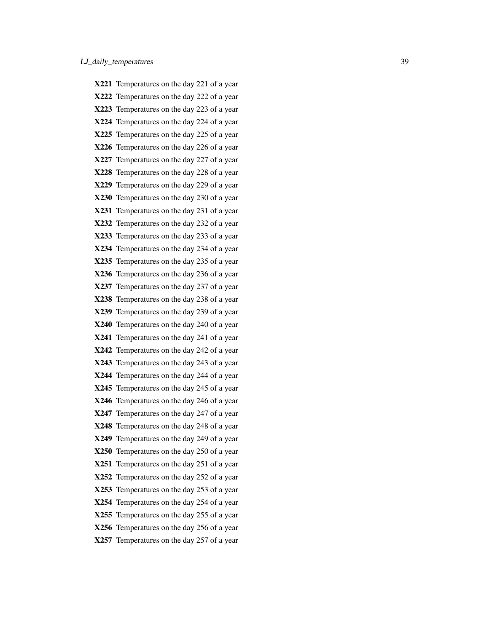| X221        | Temperatures on the day 221 of a year      |
|-------------|--------------------------------------------|
|             | X222 Temperatures on the day 222 of a year |
|             | X223 Temperatures on the day 223 of a year |
|             | X224 Temperatures on the day 224 of a year |
|             | X225 Temperatures on the day 225 of a year |
|             | X226 Temperatures on the day 226 of a year |
| X227        | Temperatures on the day 227 of a year      |
|             | X228 Temperatures on the day 228 of a year |
|             | X229 Temperatures on the day 229 of a year |
| X230        | Temperatures on the day 230 of a year      |
|             | X231 Temperatures on the day 231 of a year |
|             | X232 Temperatures on the day 232 of a year |
| X233        | Temperatures on the day 233 of a year      |
|             | X234 Temperatures on the day 234 of a year |
|             | X235 Temperatures on the day 235 of a year |
| X236        | Temperatures on the day 236 of a year      |
|             | X237 Temperatures on the day 237 of a year |
|             | X238 Temperatures on the day 238 of a year |
| X239        | Temperatures on the day 239 of a year      |
|             | X240 Temperatures on the day 240 of a year |
| X241        | Temperatures on the day 241 of a year      |
|             | X242 Temperatures on the day 242 of a year |
|             | X243 Temperatures on the day 243 of a year |
|             | X244 Temperatures on the day 244 of a year |
|             | X245 Temperatures on the day 245 of a year |
|             | X246 Temperatures on the day 246 of a year |
|             | X247 Temperatures on the day 247 of a year |
|             | X248 Temperatures on the day 248 of a year |
|             | X249 Temperatures on the day 249 of a year |
| X250        | Temperatures on the day 250 of a year      |
| <b>X251</b> | Temperatures on the day 251 of a year      |
| X252        | Temperatures on the day 252 of a year      |
| X253        | Temperatures on the day 253 of a year      |
| X254        | Temperatures on the day 254 of a year      |
| X255        | Temperatures on the day 255 of a year      |
| X256        | Temperatures on the day 256 of a year      |
| X257        | Temperatures on the day 257 of a year      |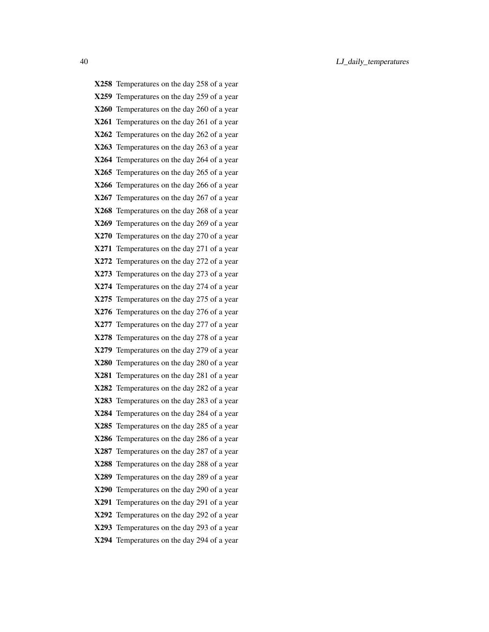X258 Temperatures on the day 258 of a year X259 Temperatures on the day 259 of a year X260 Temperatures on the day 260 of a year X261 Temperatures on the day 261 of a year X262 Temperatures on the day 262 of a year X263 Temperatures on the day 263 of a year X264 Temperatures on the day 264 of a year X265 Temperatures on the day 265 of a year X266 Temperatures on the day 266 of a year X267 Temperatures on the day 267 of a year X268 Temperatures on the day 268 of a year X269 Temperatures on the day 269 of a year X270 Temperatures on the day 270 of a year X271 Temperatures on the day 271 of a year X272 Temperatures on the day 272 of a year X273 Temperatures on the day 273 of a year X274 Temperatures on the day 274 of a year X275 Temperatures on the day 275 of a year X276 Temperatures on the day 276 of a year X277 Temperatures on the day 277 of a year X278 Temperatures on the day 278 of a year X279 Temperatures on the day 279 of a year X280 Temperatures on the day 280 of a year X281 Temperatures on the day 281 of a year X282 Temperatures on the day 282 of a year X283 Temperatures on the day 283 of a year X284 Temperatures on the day 284 of a year X285 Temperatures on the day 285 of a year X286 Temperatures on the day 286 of a year X287 Temperatures on the day 287 of a year X288 Temperatures on the day 288 of a year X289 Temperatures on the day 289 of a year X290 Temperatures on the day 290 of a year X291 Temperatures on the day 291 of a year X292 Temperatures on the day 292 of a year X293 Temperatures on the day 293 of a year X294 Temperatures on the day 294 of a year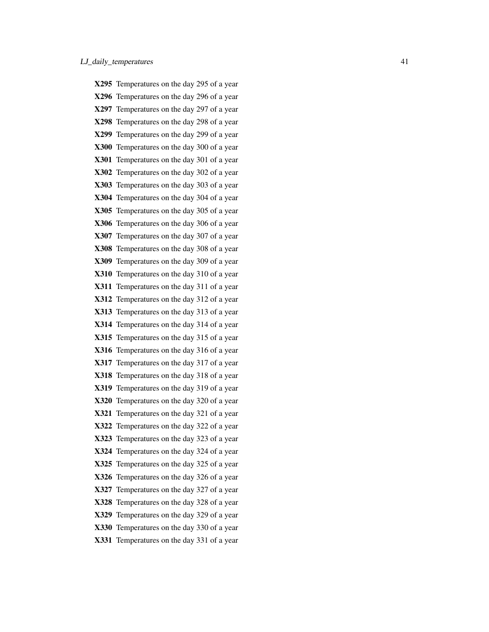|      | X295 Temperatures on the day 295 of a year |
|------|--------------------------------------------|
|      | X296 Temperatures on the day 296 of a year |
|      | X297 Temperatures on the day 297 of a year |
|      | X298 Temperatures on the day 298 of a year |
|      | X299 Temperatures on the day 299 of a year |
|      | X300 Temperatures on the day 300 of a year |
|      | X301 Temperatures on the day 301 of a year |
|      | X302 Temperatures on the day 302 of a year |
|      | X303 Temperatures on the day 303 of a year |
|      | X304 Temperatures on the day 304 of a year |
|      | X305 Temperatures on the day 305 of a year |
|      | X306 Temperatures on the day 306 of a year |
|      | X307 Temperatures on the day 307 of a year |
|      | X308 Temperatures on the day 308 of a year |
|      | X309 Temperatures on the day 309 of a year |
|      | X310 Temperatures on the day 310 of a year |
|      | X311 Temperatures on the day 311 of a year |
|      | X312 Temperatures on the day 312 of a year |
|      | X313 Temperatures on the day 313 of a year |
|      | X314 Temperatures on the day 314 of a year |
|      | X315 Temperatures on the day 315 of a year |
|      | X316 Temperatures on the day 316 of a year |
|      | X317 Temperatures on the day 317 of a year |
|      | X318 Temperatures on the day 318 of a year |
|      | X319 Temperatures on the day 319 of a year |
|      | X320 Temperatures on the day 320 of a year |
|      | X321 Temperatures on the day 321 of a year |
|      | X322 Temperatures on the day 322 of a year |
|      | X323 Temperatures on the day 323 of a year |
|      | X324 Temperatures on the day 324 of a year |
|      | X325 Temperatures on the day 325 of a year |
|      | X326 Temperatures on the day 326 of a year |
| X327 | Temperatures on the day 327 of a year      |
|      | X328 Temperatures on the day 328 of a year |
|      | X329 Temperatures on the day 329 of a year |
|      | X330 Temperatures on the day 330 of a year |
|      | X331 Temperatures on the day 331 of a year |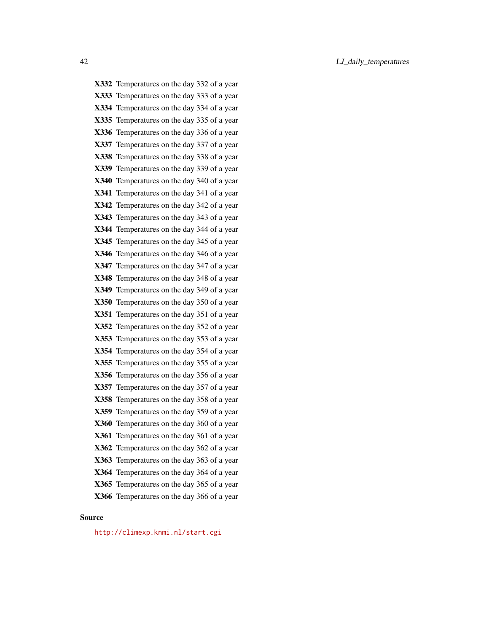X332 Temperatures on the day 332 of a year X333 Temperatures on the day 333 of a year X334 Temperatures on the day 334 of a year X335 Temperatures on the day 335 of a year X336 Temperatures on the day 336 of a year X337 Temperatures on the day 337 of a year X338 Temperatures on the day 338 of a year X339 Temperatures on the day 339 of a year X340 Temperatures on the day 340 of a year X341 Temperatures on the day 341 of a year X342 Temperatures on the day 342 of a year X343 Temperatures on the day 343 of a year X344 Temperatures on the day 344 of a year X345 Temperatures on the day 345 of a year X346 Temperatures on the day 346 of a year X347 Temperatures on the day 347 of a year X348 Temperatures on the day 348 of a year X349 Temperatures on the day 349 of a year X350 Temperatures on the day 350 of a year X351 Temperatures on the day 351 of a year X352 Temperatures on the day 352 of a year X353 Temperatures on the day 353 of a year X354 Temperatures on the day 354 of a year X355 Temperatures on the day 355 of a year X356 Temperatures on the day 356 of a year X357 Temperatures on the day 357 of a year X358 Temperatures on the day 358 of a year X359 Temperatures on the day 359 of a year X360 Temperatures on the day 360 of a year X361 Temperatures on the day 361 of a year X362 Temperatures on the day 362 of a year X363 Temperatures on the day 363 of a year X364 Temperatures on the day 364 of a year X365 Temperatures on the day 365 of a year X366 Temperatures on the day 366 of a year

#### Source

<http://climexp.knmi.nl/start.cgi>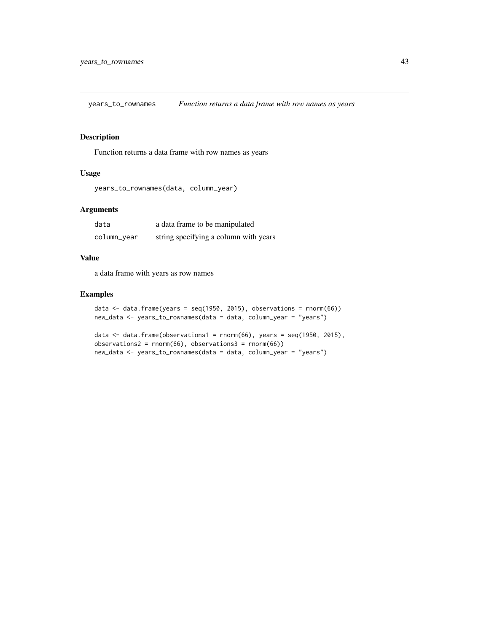<span id="page-42-0"></span>years\_to\_rownames *Function returns a data frame with row names as years*

# Description

Function returns a data frame with row names as years

# Usage

```
years_to_rownames(data, column_year)
```
# Arguments

| data        | a data frame to be manipulated        |
|-------------|---------------------------------------|
| column_year | string specifying a column with years |

# Value

a data frame with years as row names

# Examples

```
data \le data.frame(years = seq(1950, 2015), observations = rnorm(66))
new_data <- years_to_rownames(data = data, column_year = "years")
```

```
data \leq data.frame(observations1 = rnorm(66), years = seq(1950, 2015),
observations2 = rnorm(66), observations3 = rnorm(66))
new_data <- years_to_rownames(data = data, column_year = "years")
```